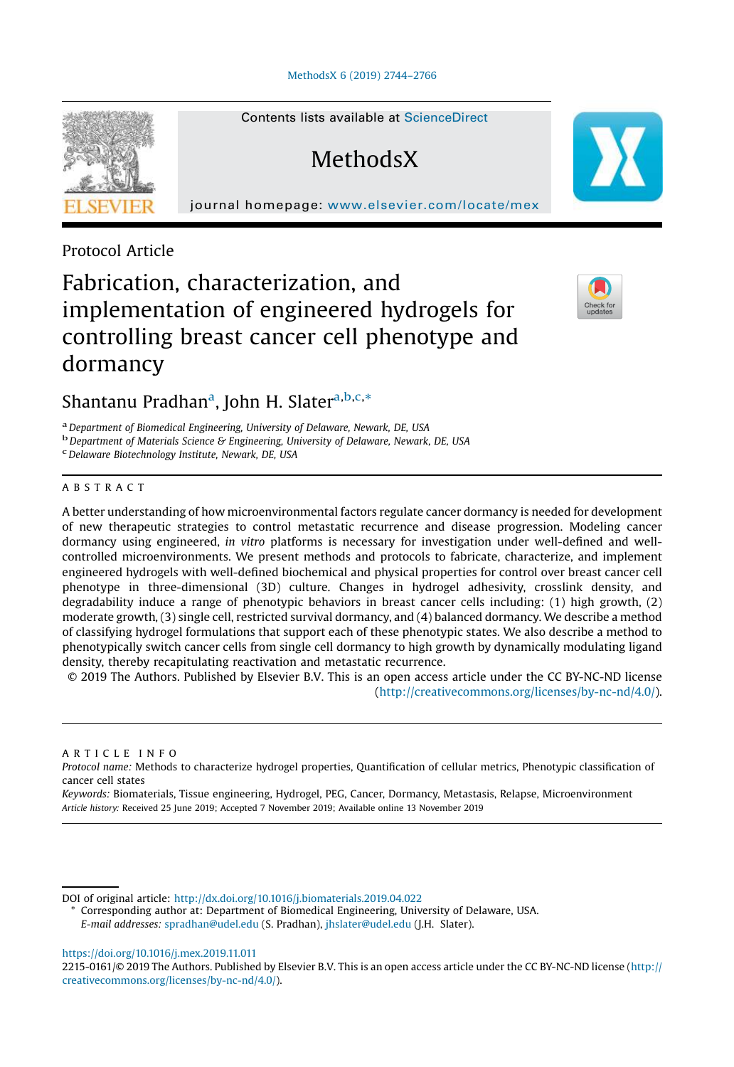

Contents lists available at ScienceDirect

**MethodsX** 

journal homepage: www.elsevier.com/locate/mex

Protocol Article

# Fabrication, characterization, and implementation of engineered hydrogels for controlling breast cancer cell phenotype and dormancy



Shantanu Pradhan<sup>a</sup>, John H. Slater<sup>a,b,c,</sup>\*

a *Department of Biomedical Engineering, University of Delaware, Newark, DE, USA*

b *Department of Materials Science & Engineering, University of Delaware, Newark, DE, USA*

c *Delaware Biotechnology Institute, Newark, DE, USA*

### ABSTRACT

A better understanding of how microenvironmental factors regulate cancer dormancy is needed for development of new therapeutic strategies to control metastatic recurrence and disease progression. Modeling cancer dormancy using engineered, *in vitro* platforms is necessary for investigation under well-defined and wellcontrolled microenvironments. We present methods and protocols to fabricate, characterize, and implement engineered hydrogels with well-defined biochemical and physical properties for control over breast cancer cell phenotype in three-dimensional (3D) culture. Changes in hydrogel adhesivity, crosslink density, and degradability induce a range of phenotypic behaviors in breast cancer cells including: (1) high growth, (2) moderate growth, (3) single cell, restricted survival dormancy, and (4) balanced dormancy. We describe a method of classifying hydrogel formulations that support each of these phenotypic states. We also describe a method to phenotypically switch cancer cells from single cell dormancy to high growth by dynamically modulating ligand density, thereby recapitulating reactivation and metastatic recurrence.

© 2019 The Authors. Published by Elsevier B.V. This is an open access article under the CC BY-NC-ND license (http://creativecommons.org/licenses/by-nc-nd/4.0/).

ARTICLE INFO

*Protocol name:* Methods to characterize hydrogel properties, Quantification of cellular metrics, Phenotypic classification of cancer cell states

*Keywords:* Biomaterials, Tissue engineering, Hydrogel, PEG, Cancer, Dormancy, Metastasis, Relapse, Microenvironment *Article history:* Received 25 June 2019; Accepted 7 November 2019; Available online 13 November 2019

DOI of original article: http://dx.doi.org/10.1016/j.biomaterials.2019.04.022

Corresponding author at: Department of Biomedical Engineering, University of Delaware, USA. *E-mail addresses:* spradhan@udel.edu (S. Pradhan), jhslater@udel.edu (J.H. Slater).

https://doi.org/10.1016/j.mex.2019.11.011

2215-0161/© 2019 The Authors. Published by Elsevier B.V. This is an open access article under the CC BY-NC-ND license (http:// creativecommons.org/licenses/by-nc-nd/4.0/).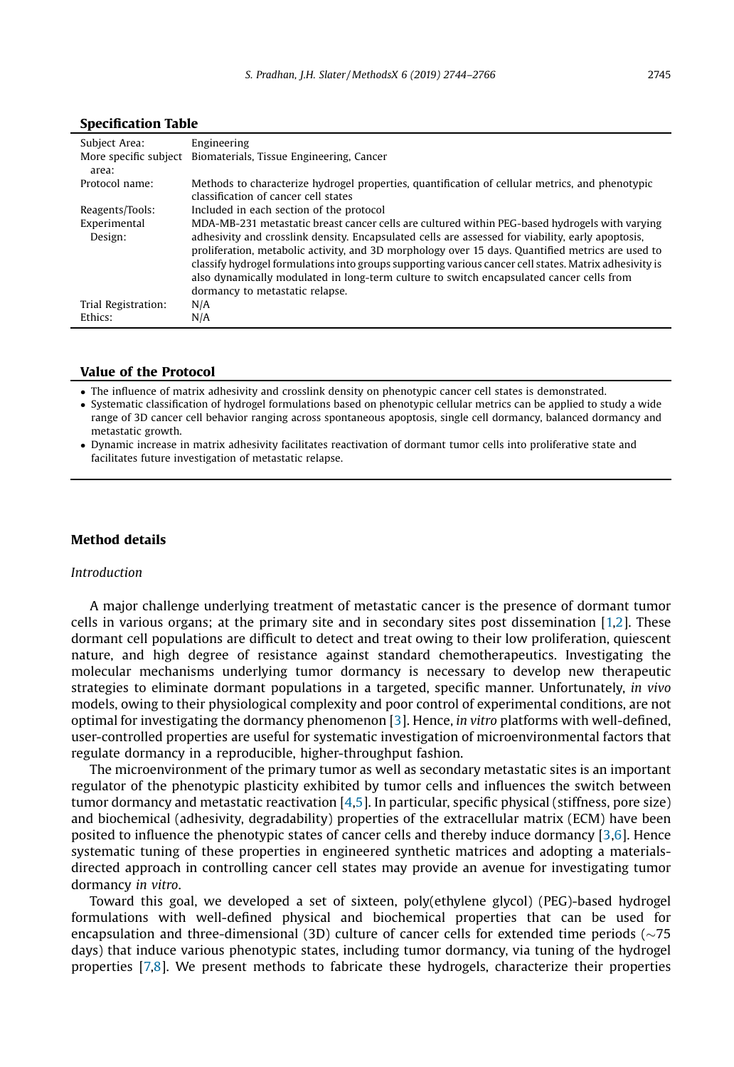| Subject Area:                  | Engineering                                                                                            |
|--------------------------------|--------------------------------------------------------------------------------------------------------|
| More specific subject<br>area: | Biomaterials, Tissue Engineering, Cancer                                                               |
| Protocol name:                 | Methods to characterize hydrogel properties, quantification of cellular metrics, and phenotypic        |
|                                | classification of cancer cell states                                                                   |
| Reagents/Tools:                | Included in each section of the protocol                                                               |
| Experimental                   | MDA-MB-231 metastatic breast cancer cells are cultured within PEG-based hydrogels with varying         |
| Design:                        | adhesivity and crosslink density. Encapsulated cells are assessed for viability, early apoptosis,      |
|                                | proliferation, metabolic activity, and 3D morphology over 15 days. Quantified metrics are used to      |
|                                | classify hydrogel formulations into groups supporting various cancer cell states. Matrix adhesivity is |
|                                | also dynamically modulated in long-term culture to switch encapsulated cancer cells from               |
|                                | dormancy to metastatic relapse.                                                                        |
| Trial Registration:            | N/A                                                                                                    |
| Ethics:                        | N/A                                                                                                    |

#### Specification Table

#### Value of the Protocol

The influence of matrix adhesivity and crosslink density on phenotypic cancer cell states is demonstrated.

 Systematic classification of hydrogel formulations based on phenotypic cellular metrics can be applied to study a wide range of 3D cancer cell behavior ranging across spontaneous apoptosis, single cell dormancy, balanced dormancy and metastatic growth.

 Dynamic increase in matrix adhesivity facilitates reactivation of dormant tumor cells into proliferative state and facilitates future investigation of metastatic relapse.

## Method details

#### *Introduction*

A major challenge underlying treatment of metastatic cancer is the presence of dormant tumor cells in various organs; at the primary site and in secondary sites post dissemination [1,2]. These dormant cell populations are difficult to detect and treat owing to their low proliferation, quiescent nature, and high degree of resistance against standard chemotherapeutics. Investigating the molecular mechanisms underlying tumor dormancy is necessary to develop new therapeutic strategies to eliminate dormant populations in a targeted, specific manner. Unfortunately, *in vivo* models, owing to their physiological complexity and poor control of experimental conditions, are not optimal for investigating the dormancy phenomenon [3]. Hence, *in vitro* platforms with well-defined, user-controlled properties are useful for systematic investigation of microenvironmental factors that regulate dormancy in a reproducible, higher-throughput fashion.

The microenvironment of the primary tumor as well as secondary metastatic sites is an important regulator of the phenotypic plasticity exhibited by tumor cells and influences the switch between tumor dormancy and metastatic reactivation [4,5]. In particular, specific physical (stiffness, pore size) and biochemical (adhesivity, degradability) properties of the extracellular matrix (ECM) have been posited to influence the phenotypic states of cancer cells and thereby induce dormancy [3,6]. Hence systematic tuning of these properties in engineered synthetic matrices and adopting a materialsdirected approach in controlling cancer cell states may provide an avenue for investigating tumor dormancy *in vitro*.

Toward this goal, we developed a set of sixteen, poly(ethylene glycol) (PEG)-based hydrogel formulations with well-defined physical and biochemical properties that can be used for encapsulation and three-dimensional (3D) culture of cancer cells for extended time periods ( $\sim$ 75 days) that induce various phenotypic states, including tumor dormancy, via tuning of the hydrogel properties [7,8]. We present methods to fabricate these hydrogels, characterize their properties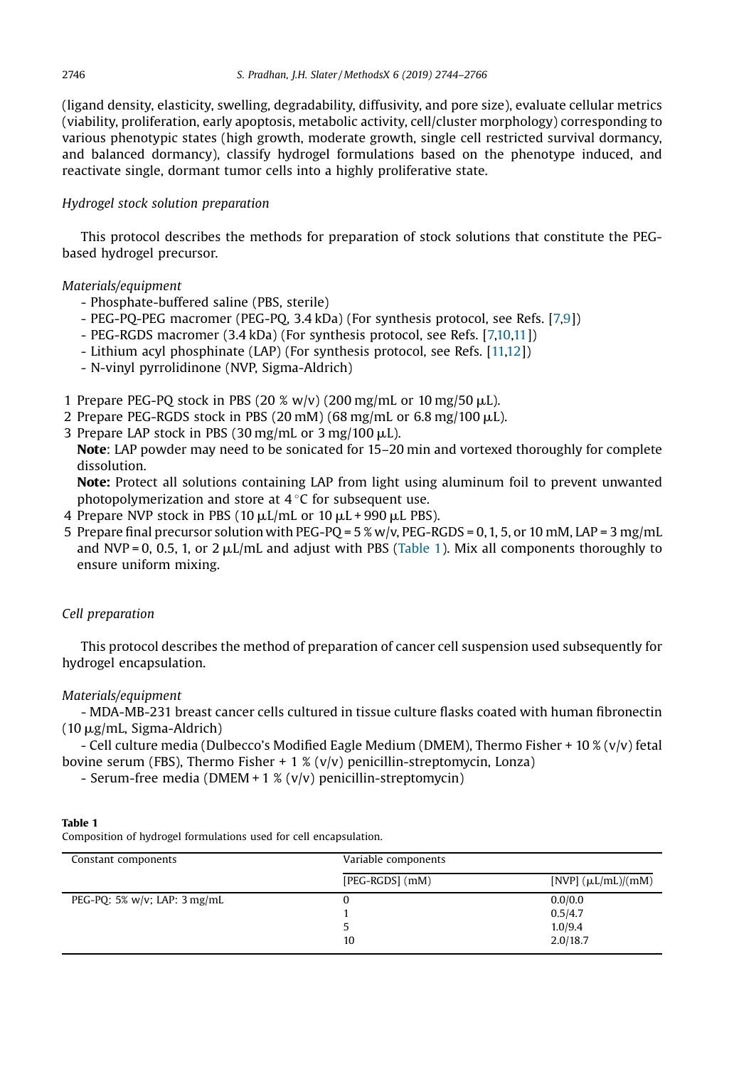(ligand density, elasticity, swelling, degradability, diffusivity, and pore size), evaluate cellular metrics (viability, proliferation, early apoptosis, metabolic activity, cell/cluster morphology) corresponding to various phenotypic states (high growth, moderate growth, single cell restricted survival dormancy, and balanced dormancy), classify hydrogel formulations based on the phenotype induced, and reactivate single, dormant tumor cells into a highly proliferative state.

## *Hydrogel stock solution preparation*

This protocol describes the methods for preparation of stock solutions that constitute the PEGbased hydrogel precursor.

#### *Materials/equipment*

- Phosphate-buffered saline (PBS, sterile)
- PEG-PQ-PEG macromer (PEG-PQ, 3.4 kDa) (For synthesis protocol, see Refs. [7,9])
- PEG-RGDS macromer (3.4 kDa) (For synthesis protocol, see Refs. [7,10,11])
- Lithium acyl phosphinate (LAP) (For synthesis protocol, see Refs. [11,12])
- N-vinyl pyrrolidinone (NVP, Sigma-Aldrich)
- 1 Prepare PEG-PQ stock in PBS (20 % w/v) (200 mg/mL or 10 mg/50  $\mu$ L).
- 2 Prepare PEG-RGDS stock in PBS (20 mM) (68 mg/mL or  $6.8 \text{ mg}/100 \mu$ L).
- 3 Prepare LAP stock in PBS (30 mg/mL or 3 mg/100  $\mu$ L).

Note: LAP powder may need to be sonicated for 15–20 min and vortexed thoroughly for complete dissolution.

Note: Protect all solutions containing LAP from light using aluminum foil to prevent unwanted photopolymerization and store at  $4^{\circ}$ C for subsequent use.

- 4 Prepare NVP stock in PBS (10  $\mu$ L/mL or 10  $\mu$ L + 990  $\mu$ L PBS).
- 5 Prepare final precursor solution with PEG-PQ = 5 % w/v, PEG-RGDS = 0, 1, 5, or 10 mM, LAP = 3 mg/mL and NVP = 0, 0.5, 1, or 2  $\mu$ L/mL and adjust with PBS (Table 1). Mix all components thoroughly to ensure uniform mixing.

#### *Cell preparation*

This protocol describes the method of preparation of cancer cell suspension used subsequently for hydrogel encapsulation.

#### *Materials/equipment*

- MDA-MB-231 breast cancer cells cultured in tissue culture flasks coated with human fibronectin  $(10 \mu g/mL, Sigma-Aldrich)$ 

- Cell culture media (Dulbecco's Modified Eagle Medium (DMEM), Thermo Fisher + 10 % (v/v) fetal bovine serum (FBS), Thermo Fisher + 1 % (v/v) penicillin-streptomycin, Lonza)

- Serum-free media (DMEM + 1 % (v/v) penicillin-streptomycin)

| Composition of hydroger formulations used for cell encapsulation. |                     |                         |  |
|-------------------------------------------------------------------|---------------------|-------------------------|--|
| Constant components                                               | Variable components |                         |  |
|                                                                   | $[PEG-RGDS]$ (mM)   | [NVP] $(\mu L/mL)/(mM)$ |  |
| PEG-PO: $5\%$ w/v; LAP: $3$ mg/mL                                 |                     | 0.0/0.0                 |  |
|                                                                   |                     | 0.5/4.7                 |  |
|                                                                   |                     | 1.0/9.4                 |  |
|                                                                   | 10                  | 2.0/18.7                |  |

#### Table 1

Composition of hydrogel formulations used for cell encapsulation.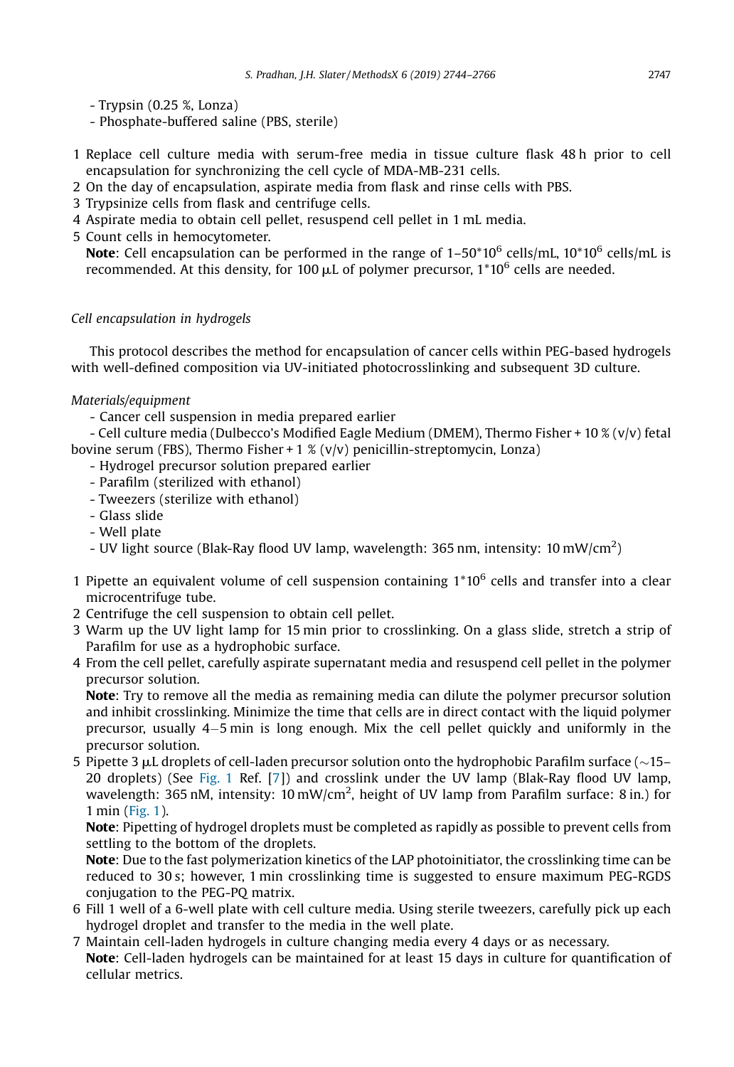- Trypsin (0.25 %, Lonza)

- Phosphate-buffered saline (PBS, sterile)
- 1 Replace cell culture media with serum-free media in tissue culture flask 48 h prior to cell encapsulation for synchronizing the cell cycle of MDA-MB-231 cells.
- 2 On the day of encapsulation, aspirate media from flask and rinse cells with PBS.
- 3 Trypsinize cells from flask and centrifuge cells.
- 4 Aspirate media to obtain cell pellet, resuspend cell pellet in 1 mL media.
- 5 Count cells in hemocytometer.

**Note:** Cell encapsulation can be performed in the range of  $1\text{--}50^*10^6$  cells/mL,  $10^*10^6$  cells/mL is recommended. At this density, for 100  $\mu$ L of polymer precursor, 1\*10 $^6$  cells are needed.

# *Cell encapsulation in hydrogels*

This protocol describes the method for encapsulation of cancer cells within PEG-based hydrogels with well-defined composition via UV-initiated photocrosslinking and subsequent 3D culture.

# *Materials/equipment*

- Cancer cell suspension in media prepared earlier

- Cell culture media (Dulbecco's Modified Eagle Medium (DMEM), Thermo Fisher + 10 % (v/v) fetal bovine serum (FBS), Thermo Fisher + 1 % (v/v) penicillin-streptomycin, Lonza)

- Hydrogel precursor solution prepared earlier
- Parafilm (sterilized with ethanol)
- Tweezers (sterilize with ethanol)
- Glass slide
- Well plate
- UV light source (Blak-Ray flood UV lamp, wavelength: 365 nm, intensity: 10 mW/cm<sup>2</sup>)
- 1 Pipette an equivalent volume of cell suspension containing 1\*10<sup>6</sup> cells and transfer into a clear microcentrifuge tube.
- 2 Centrifuge the cell suspension to obtain cell pellet.
- 3 Warm up the UV light lamp for 15 min prior to crosslinking. On a glass slide, stretch a strip of Parafilm for use as a hydrophobic surface.
- 4 From the cell pellet, carefully aspirate supernatant media and resuspend cell pellet in the polymer precursor solution.

Note: Try to remove all the media as remaining media can dilute the polymer precursor solution and inhibit crosslinking. Minimize the time that cells are in direct contact with the liquid polymer precursor, usually 45 min is long enough. Mix the cell pellet quickly and uniformly in the precursor solution.

5 Pipette 3  $\mu$ L droplets of cell-laden precursor solution onto the hydrophobic Parafilm surface ( $\sim$ 15– 20 droplets) (See Fig. 1 Ref. [7]) and crosslink under the UV lamp (Blak-Ray flood UV lamp, wavelength: 365 nM, intensity: 10 mW/cm<sup>2</sup>, height of UV lamp from Parafilm surface: 8 in.) for 1 min (Fig. 1).

Note: Pipetting of hydrogel droplets must be completed as rapidly as possible to prevent cells from settling to the bottom of the droplets.

Note: Due to the fast polymerization kinetics of the LAP photoinitiator, the crosslinking time can be reduced to 30 s; however, 1 min crosslinking time is suggested to ensure maximum PEG-RGDS conjugation to the PEG-PQ matrix.

- 6 Fill 1 well of a 6-well plate with cell culture media. Using sterile tweezers, carefully pick up each hydrogel droplet and transfer to the media in the well plate.
- 7 Maintain cell-laden hydrogels in culture changing media every 4 days or as necessary. Note: Cell-laden hydrogels can be maintained for at least 15 days in culture for quantification of cellular metrics.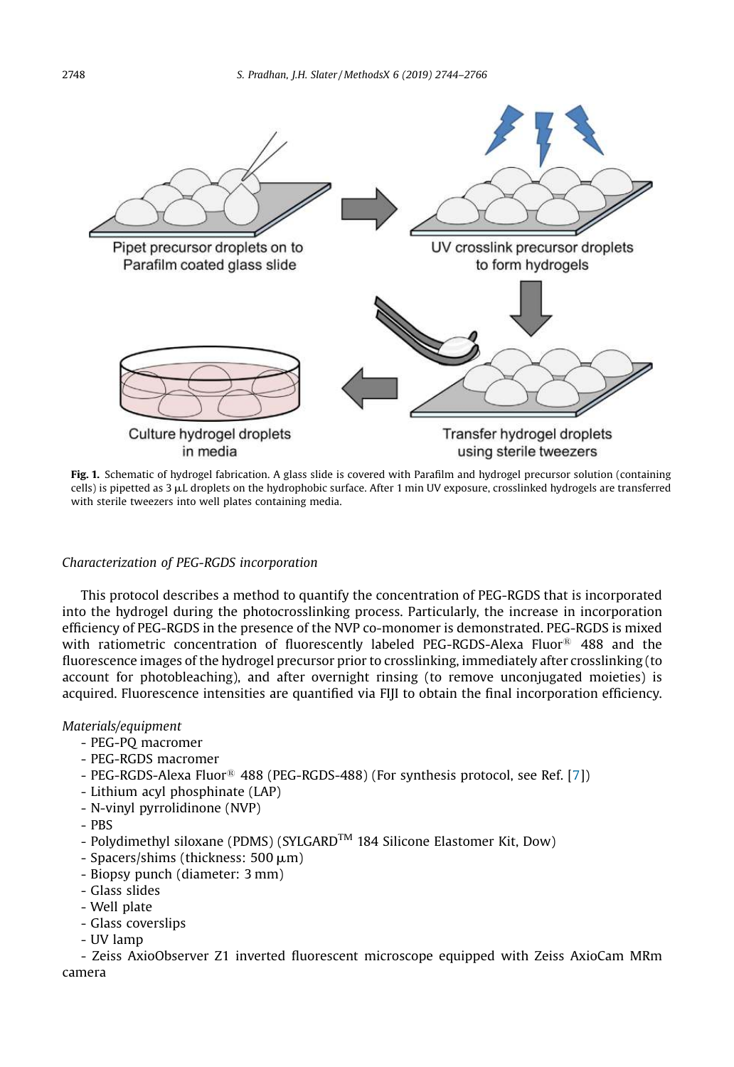

Fig. 1. Schematic of hydrogel fabrication. A glass slide is covered with Parafilm and hydrogel precursor solution (containing cells) is pipetted as  $3 \mu$ L droplets on the hydrophobic surface. After 1 min UV exposure, crosslinked hydrogels are transferred with sterile tweezers into well plates containing media.

## *Characterization of PEG-RGDS incorporation*

This protocol describes a method to quantify the concentration of PEG-RGDS that is incorporated into the hydrogel during the photocrosslinking process. Particularly, the increase in incorporation efficiency of PEG-RGDS in the presence of the NVP co-monomer is demonstrated. PEG-RGDS is mixed with ratiometric concentration of fluorescently labeled PEG-RGDS-Alexa Fluor<sup>®</sup> 488 and the fluorescence images of the hydrogel precursor prior to crosslinking, immediately after crosslinking (to account for photobleaching), and after overnight rinsing (to remove unconjugated moieties) is acquired. Fluorescence intensities are quantified via FIJI to obtain the final incorporation efficiency.

### *Materials/equipment*

- PEG-PQ macromer
- PEG-RGDS macromer
- PEG-RGDS-Alexa Fluor<sup>®</sup> 488 (PEG-RGDS-488) (For synthesis protocol, see Ref. [7])
- Lithium acyl phosphinate (LAP)
- N-vinyl pyrrolidinone (NVP)
- PBS
- Polydimethyl siloxane (PDMS) (SYLGARD<sup>TM</sup> 184 Silicone Elastomer Kit, Dow)
- $-$  Spacers/shims (thickness: 500  $\mu$ m)
- Biopsy punch (diameter: 3 mm)
- Glass slides
- Well plate
- Glass coverslips
- UV lamp

- Zeiss AxioObserver Z1 inverted fluorescent microscope equipped with Zeiss AxioCam MRm camera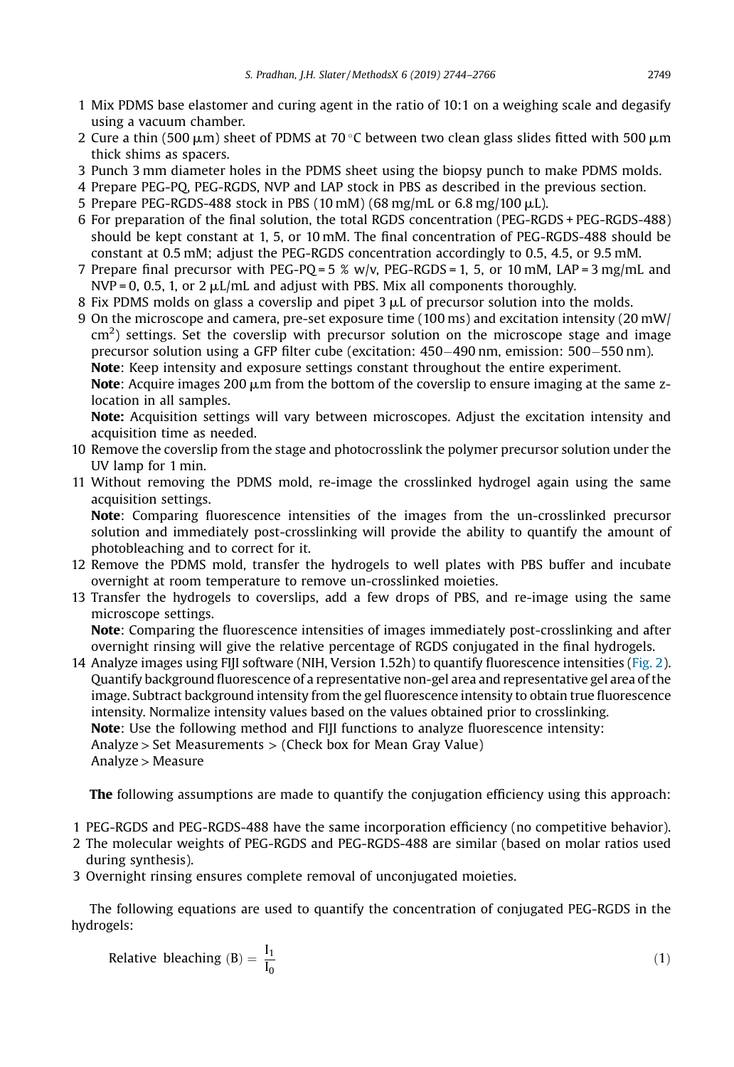- 1 Mix PDMS base elastomer and curing agent in the ratio of 10:1 on a weighing scale and degasify using a vacuum chamber.
- 2 Cure a thin (500  $\mu$ m) sheet of PDMS at 70 °C between two clean glass slides fitted with 500  $\mu$ m thick shims as spacers.
- 3 Punch 3 mm diameter holes in the PDMS sheet using the biopsy punch to make PDMS molds.
- 4 Prepare PEG-PQ, PEG-RGDS, NVP and LAP stock in PBS as described in the previous section.
- 5 Prepare PEG-RGDS-488 stock in PBS (10 mM) (68 mg/mL or 6.8 mg/100  $\mu$ L).
- 6 For preparation of the final solution, the total RGDS concentration (PEG-RGDS + PEG-RGDS-488) should be kept constant at 1, 5, or 10 mM. The final concentration of PEG-RGDS-488 should be constant at 0.5 mM; adjust the PEG-RGDS concentration accordingly to 0.5, 4.5, or 9.5 mM.
- 7 Prepare final precursor with PEG-PQ = 5 % w/v, PEG-RGDS = 1, 5, or 10 mM, LAP = 3 mg/mL and  $NVP = 0$ , 0.5, 1, or 2  $\mu L/mL$  and adjust with PBS. Mix all components thoroughly.
- 8 Fix PDMS molds on glass a coverslip and pipet  $3 \mu L$  of precursor solution into the molds.
- 9 On the microscope and camera, pre-set exposure time (100 ms) and excitation intensity (20 mW/  $\text{cm}^2$ ) settings. Set the coverslip with precursor solution on the microscope stage and image precursor solution using a GFP filter cube (excitation: 450–490 nm, emission: 500–550 nm). Note: Keep intensity and exposure settings constant throughout the entire experiment. **Note:** Acquire images 200  $\mu$ m from the bottom of the coverslip to ensure imaging at the same zlocation in all samples.

Note: Acquisition settings will vary between microscopes. Adjust the excitation intensity and acquisition time as needed.

- 10 Remove the coverslip from the stage and photocrosslink the polymer precursor solution under the UV lamp for 1 min.
- 11 Without removing the PDMS mold, re-image the crosslinked hydrogel again using the same acquisition settings.

Note: Comparing fluorescence intensities of the images from the un-crosslinked precursor solution and immediately post-crosslinking will provide the ability to quantify the amount of photobleaching and to correct for it.

- 12 Remove the PDMS mold, transfer the hydrogels to well plates with PBS buffer and incubate overnight at room temperature to remove un-crosslinked moieties.
- 13 Transfer the hydrogels to coverslips, add a few drops of PBS, and re-image using the same microscope settings.

Note: Comparing the fluorescence intensities of images immediately post-crosslinking and after overnight rinsing will give the relative percentage of RGDS conjugated in the final hydrogels.

14 Analyze images using FIJI software (NIH, Version 1.52h) to quantify fluorescence intensities (Fig. 2). Quantify background fluorescence of a representative non-gel area and representative gel area of the image. Subtract background intensity from the gel fluorescence intensity to obtain true fluorescence intensity. Normalize intensity values based on the values obtained prior to crosslinking. Note: Use the following method and FIJI functions to analyze fluorescence intensity: Analyze > Set Measurements > (Check box for Mean Gray Value) Analyze > Measure

The following assumptions are made to quantify the conjugation efficiency using this approach:

- 1 PEG-RGDS and PEG-RGDS-488 have the same incorporation efficiency (no competitive behavior).
- 2 The molecular weights of PEG-RGDS and PEG-RGDS-488 are similar (based on molar ratios used during synthesis).
- 3 Overnight rinsing ensures complete removal of unconjugated moieties.

The following equations are used to quantify the concentration of conjugated PEG-RGDS in the hydrogels:

Relative bleaching (B) = 
$$
\frac{I_1}{I_0}
$$
 (1)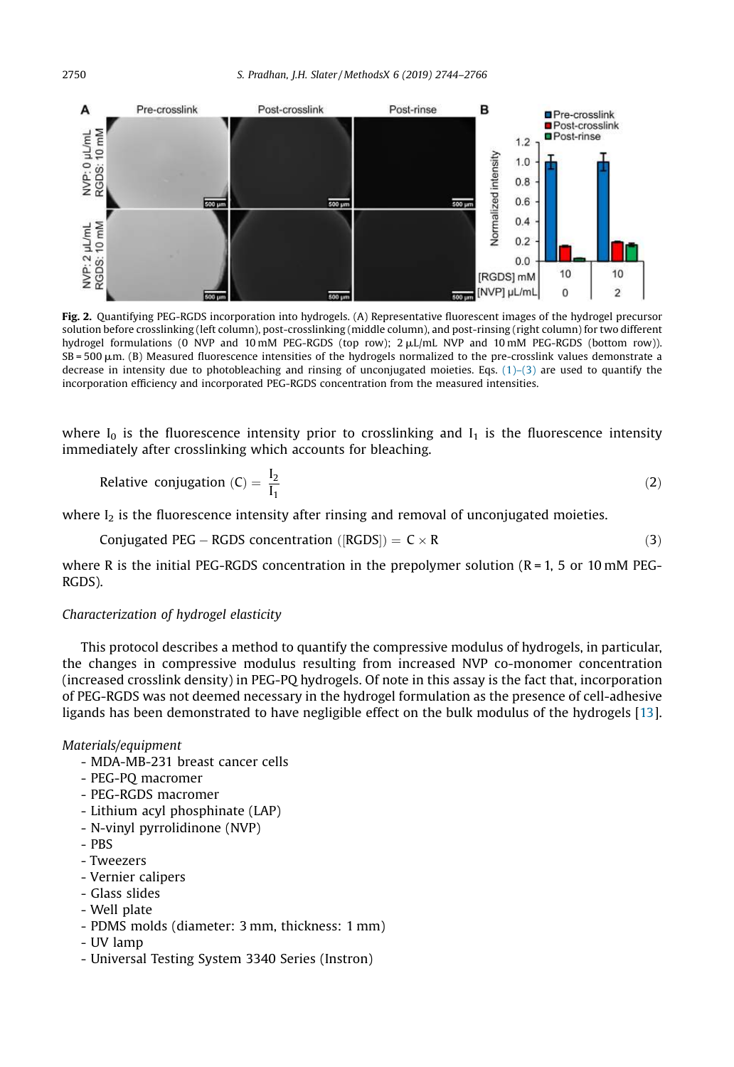

Fig. 2. Quantifying PEG-RGDS incorporation into hydrogels. (A) Representative fluorescent images of the hydrogel precursor solution before crosslinking (left column), post-crosslinking (middle column), and post-rinsing (right column) for two different hydrogel formulations (0 NVP and 10 mM PEG-RGDS (top row); 2  $\mu$ L/mL NVP and 10 mM PEG-RGDS (bottom row)).  $SB = 500 \mu m$ . (B) Measured fluorescence intensities of the hydrogels normalized to the pre-crosslink values demonstrate a decrease in intensity due to photobleaching and rinsing of unconjugated moieties. Eqs.  $(1)-(3)$  are used to quantify the incorporation efficiency and incorporated PEG-RGDS concentration from the measured intensities.

where  $I_0$  is the fluorescence intensity prior to crosslinking and  $I_1$  is the fluorescence intensity immediately after crosslinking which accounts for bleaching.

Relative conjugation (C) = 
$$
\frac{I_2}{I_1}
$$
 (2)

where  $I_2$  is the fluorescence intensity after rinsing and removal of unconjugated moieties.

Conjugated PEG – RGBS concentration (
$$
[RGDS]
$$
) = C × R\n
$$
(3)
$$

where R is the initial PEG-RGDS concentration in the prepolymer solution  $(R = 1, 5 \text{ or } 10 \text{ mM}$  PEG-RGDS).

#### *Characterization of hydrogel elasticity*

This protocol describes a method to quantify the compressive modulus of hydrogels, in particular, the changes in compressive modulus resulting from increased NVP co-monomer concentration (increased crosslink density) in PEG-PQ hydrogels. Of note in this assay is the fact that, incorporation of PEG-RGDS was not deemed necessary in the hydrogel formulation as the presence of cell-adhesive ligands has been demonstrated to have negligible effect on the bulk modulus of the hydrogels [13].

- MDA-MB-231 breast cancer cells
- PEG-PQ macromer
- PEG-RGDS macromer
- Lithium acyl phosphinate (LAP)
- N-vinyl pyrrolidinone (NVP)
- PBS
- Tweezers
- Vernier calipers
- Glass slides
- Well plate
- PDMS molds (diameter: 3 mm, thickness: 1 mm)
- UV lamp
- Universal Testing System 3340 Series (Instron)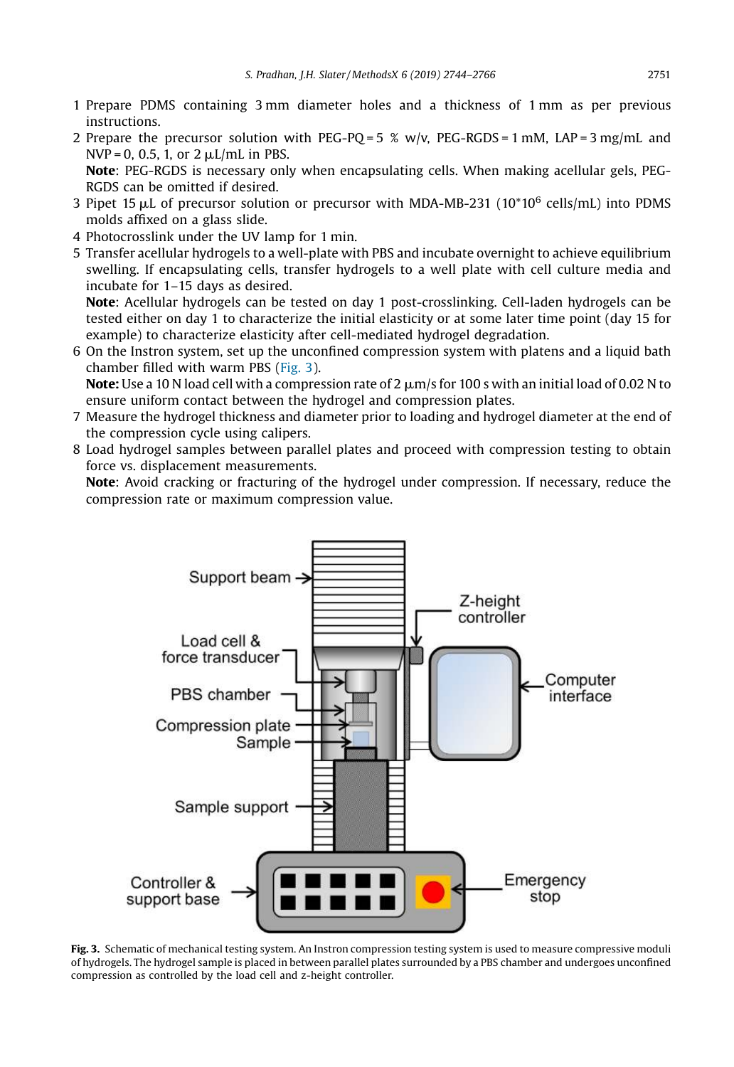- 1 Prepare PDMS containing 3 mm diameter holes and a thickness of 1 mm as per previous instructions.
- 2 Prepare the precursor solution with PEG-PO = 5 % w/v, PEG-RGDS = 1 mM, LAP = 3 mg/mL and  $NVP = 0$ , 0.5, 1, or  $2 \mu L/mL$  in PBS. Note: PEG-RGDS is necessary only when encapsulating cells. When making acellular gels, PEG-RGDS can be omitted if desired.
- 3 Pipet 15  $\mu$ L of precursor solution or precursor with MDA-MB-231 (10\*10 $^6$  cells/mL) into PDMS molds affixed on a glass slide.
- 4 Photocrosslink under the UV lamp for 1 min.
- 5 Transfer acellular hydrogels to a well-plate with PBS and incubate overnight to achieve equilibrium swelling. If encapsulating cells, transfer hydrogels to a well plate with cell culture media and incubate for 1–15 days as desired.

Note: Acellular hydrogels can be tested on day 1 post-crosslinking. Cell-laden hydrogels can be tested either on day 1 to characterize the initial elasticity or at some later time point (day 15 for example) to characterize elasticity after cell-mediated hydrogel degradation.

6 On the Instron system, set up the unconfined compression system with platens and a liquid bath chamber filled with warm PBS (Fig. 3).

**Note:** Use a 10 N load cell with a compression rate of 2  $\mu$ m/s for 100 s with an initial load of 0.02 N to ensure uniform contact between the hydrogel and compression plates.

- 7 Measure the hydrogel thickness and diameter prior to loading and hydrogel diameter at the end of the compression cycle using calipers.
- 8 Load hydrogel samples between parallel plates and proceed with compression testing to obtain force vs. displacement measurements.

Note: Avoid cracking or fracturing of the hydrogel under compression. If necessary, reduce the compression rate or maximum compression value.



Fig. 3. Schematic of mechanical testing system. An Instron compression testing system is used to measure compressive moduli of hydrogels. The hydrogel sample is placed in between parallel plates surrounded by a PBS chamber and undergoes unconfined compression as controlled by the load cell and z-height controller.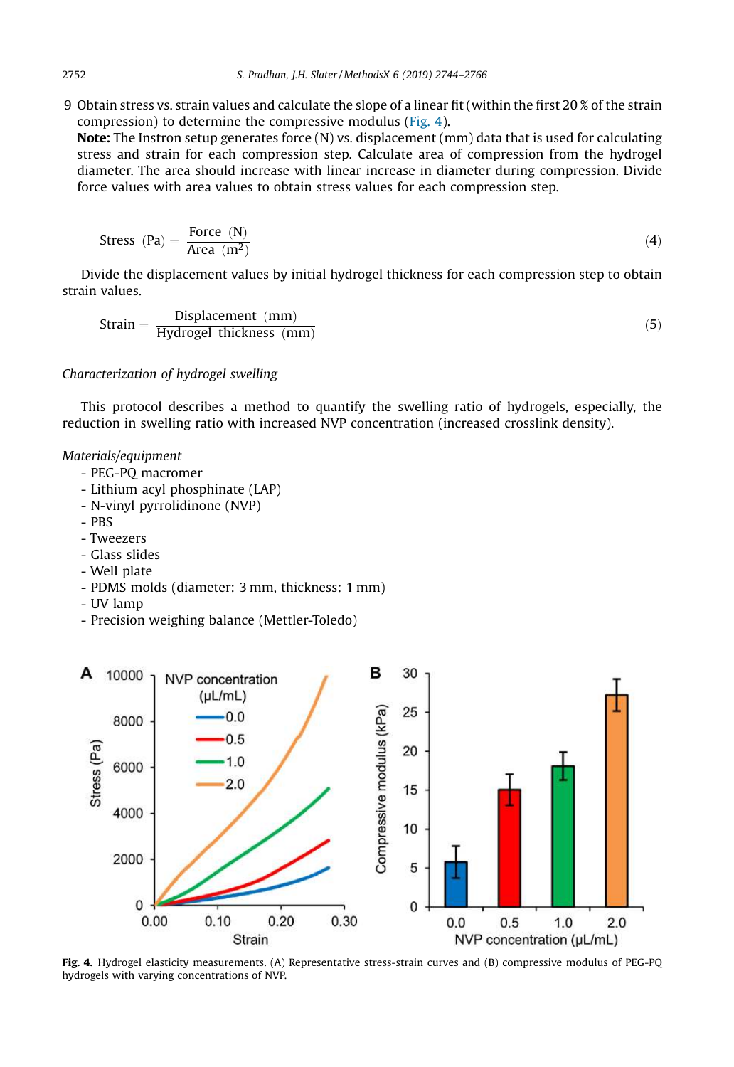9 Obtain stress vs. strain values and calculate the slope of a linear fit (within the first 20 % of the strain compression) to determine the compressive modulus (Fig. 4).

Note: The Instron setup generates force (N) vs. displacement (mm) data that is used for calculating stress and strain for each compression step. Calculate area of compression from the hydrogel diameter. The area should increase with linear increase in diameter during compression. Divide force values with area values to obtain stress values for each compression step.

$$
Stress (Pa) = \frac{Force (N)}{Area (m^2)}
$$
 (4)

Divide the displacement values by initial hydrogel thickness for each compression step to obtain strain values.

Strain = 
$$
\frac{\text{Displacement (mm)}}{\text{Hydrogel thickness (mm)}}
$$
 (5)

#### *Characterization of hydrogel swelling*

This protocol describes a method to quantify the swelling ratio of hydrogels, especially, the reduction in swelling ratio with increased NVP concentration (increased crosslink density).

- PEG-PQ macromer
- Lithium acyl phosphinate (LAP)
- N-vinyl pyrrolidinone (NVP)
- PBS
- Tweezers
- Glass slides
- Well plate
- PDMS molds (diameter: 3 mm, thickness: 1 mm)
- UV lamp
- Precision weighing balance (Mettler-Toledo)



Fig. 4. Hydrogel elasticity measurements. (A) Representative stress-strain curves and (B) compressive modulus of PEG-PQ hydrogels with varying concentrations of NVP.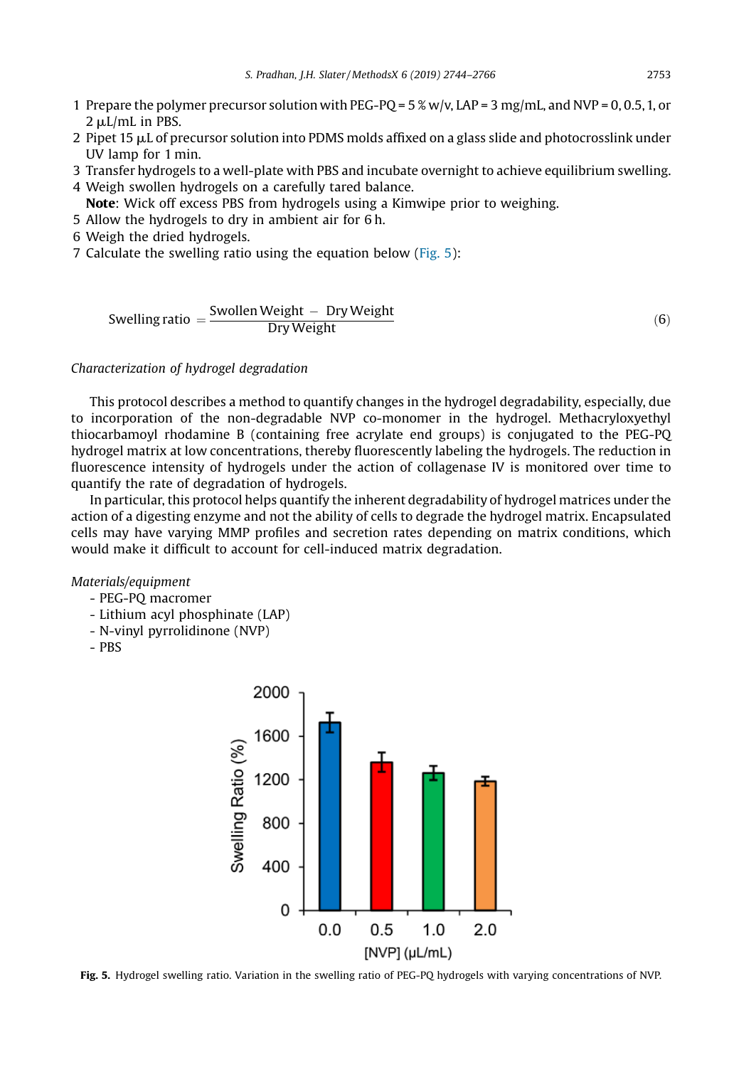- 1 Prepare the polymer precursor solution with PEG-PQ =  $5\%$  w/v, LAP =  $3$  mg/mL, and NVP = 0, 0.5, 1, or 2  $\mu$ L/mL in PBS.
- 2 Pipet 15  $\mu$ L of precursor solution into PDMS molds affixed on a glass slide and photocrosslink under UV lamp for 1 min.
- 3 Transfer hydrogels to a well-plate with PBS and incubate overnight to achieve equilibrium swelling.
- 4 Weigh swollen hydrogels on a carefully tared balance.
	- Note: Wick off excess PBS from hydrogels using a Kimwipe prior to weighing.
- 5 Allow the hydrogels to dry in ambient air for 6 h.
- 6 Weigh the dried hydrogels.
- 7 Calculate the swelling ratio using the equation below (Fig. 5):

$$
Swelling ratio = \frac{Swollen Weight - Dry Weight}{Dry Weight}
$$
 (6)

*Characterization of hydrogel degradation*

This protocol describes a method to quantify changes in the hydrogel degradability, especially, due to incorporation of the non-degradable NVP co-monomer in the hydrogel. Methacryloxyethyl thiocarbamoyl rhodamine B (containing free acrylate end groups) is conjugated to the PEG-PQ hydrogel matrix at low concentrations, thereby fluorescently labeling the hydrogels. The reduction in fluorescence intensity of hydrogels under the action of collagenase IV is monitored over time to quantify the rate of degradation of hydrogels.

In particular, this protocol helps quantify the inherent degradability of hydrogel matrices under the action of a digesting enzyme and not the ability of cells to degrade the hydrogel matrix. Encapsulated cells may have varying MMP profiles and secretion rates depending on matrix conditions, which would make it difficult to account for cell-induced matrix degradation.

- PEG-PQ macromer
- Lithium acyl phosphinate (LAP)
- N-vinyl pyrrolidinone (NVP)
- PBS



Fig. 5. Hydrogel swelling ratio. Variation in the swelling ratio of PEG-PQ hydrogels with varying concentrations of NVP.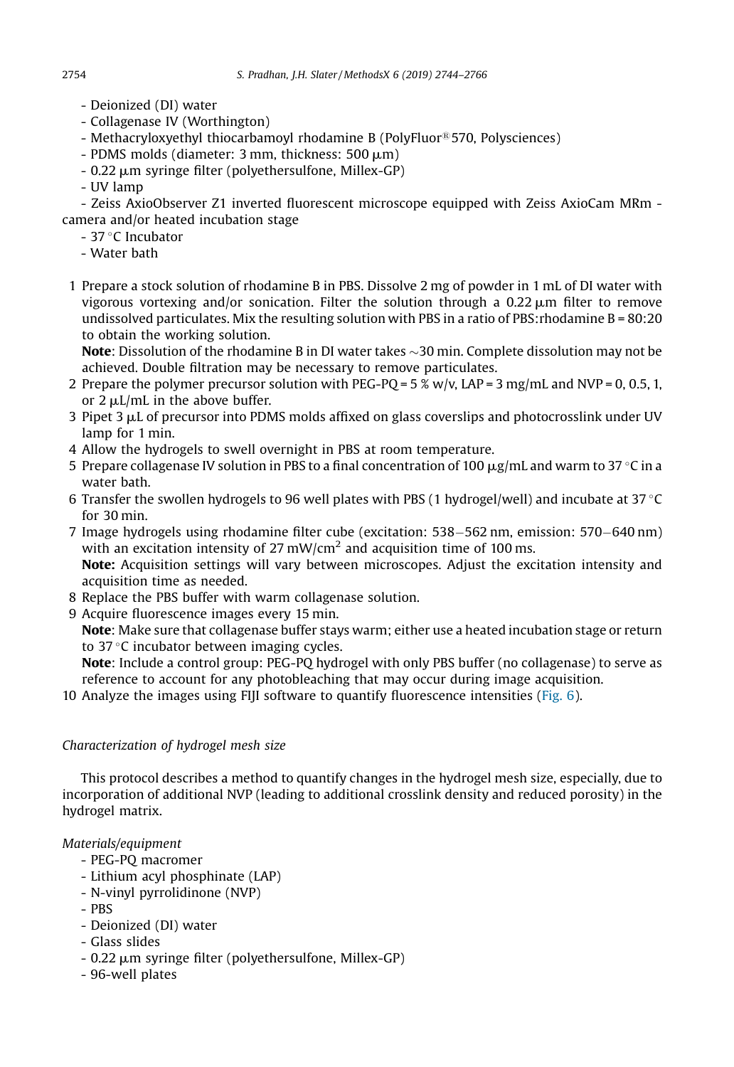- Deionized (DI) water
- Collagenase IV (Worthington)
- Methacryloxyethyl thiocarbamoyl rhodamine B (PolyFluor®570, Polysciences)
- $-$  PDMS molds (diameter: 3 mm, thickness:  $500 \text{ }\mu\text{m}$ )
- 0.22  $\mu$ m syringe filter (polyethersulfone, Millex-GP)
- UV lamp

- Zeiss AxioObserver Z1 inverted fluorescent microscope equipped with Zeiss AxioCam MRm camera and/or heated incubation stage

- $-37$  °C Incubator
- Water bath
- 1 Prepare a stock solution of rhodamine B in PBS. Dissolve 2 mg of powder in 1 mL of DI water with vigorous vortexing and/or sonication. Filter the solution through a  $0.22 \mu m$  filter to remove undissolved particulates. Mix the resulting solution with PBS in a ratio of PBS: rhodamine  $B = 80:20$ to obtain the working solution.

**Note:** Dissolution of the rhodamine B in DI water takes  $\sim$ 30 min. Complete dissolution may not be achieved. Double filtration may be necessary to remove particulates.

- 2 Prepare the polymer precursor solution with PEG-PQ =  $5\%$  w/v, LAP =  $3$  mg/mL and NVP = 0, 0.5, 1, or  $2 \mu L/mL$  in the above buffer.
- 3 Pipet 3  $\mu$ L of precursor into PDMS molds affixed on glass coverslips and photocrosslink under UV lamp for 1 min.
- 4 Allow the hydrogels to swell overnight in PBS at room temperature.
- 5 Prepare collagenase IV solution in PBS to a final concentration of 100  $\mu$ g/mL and warm to 37 °C in a water bath.
- 6 Transfer the swollen hydrogels to 96 well plates with PBS (1 hydrogel/well) and incubate at 37 °C for 30 min.
- 7 Image hydrogels using rhodamine filter cube (excitation: 538–562 nm, emission: 570–640 nm) with an excitation intensity of 27 mW/cm<sup>2</sup> and acquisition time of 100 ms. Note: Acquisition settings will vary between microscopes. Adjust the excitation intensity and acquisition time as needed.
- 8 Replace the PBS buffer with warm collagenase solution.
- 9 Acquire fluorescence images every 15 min.

Note: Make sure that collagenase buffer stays warm; either use a heated incubation stage or return to  $37^{\circ}$ C incubator between imaging cycles.

Note: Include a control group: PEG-PQ hydrogel with only PBS buffer (no collagenase) to serve as reference to account for any photobleaching that may occur during image acquisition.

10 Analyze the images using FIJI software to quantify fluorescence intensities (Fig. 6).

# *Characterization of hydrogel mesh size*

This protocol describes a method to quantify changes in the hydrogel mesh size, especially, due to incorporation of additional NVP (leading to additional crosslink density and reduced porosity) in the hydrogel matrix.

- PEG-PQ macromer
- Lithium acyl phosphinate (LAP)
- N-vinyl pyrrolidinone (NVP)
- PBS
- Deionized (DI) water
- Glass slides
- 0.22  $\mu$ m syringe filter (polyethersulfone, Millex-GP)
- 96-well plates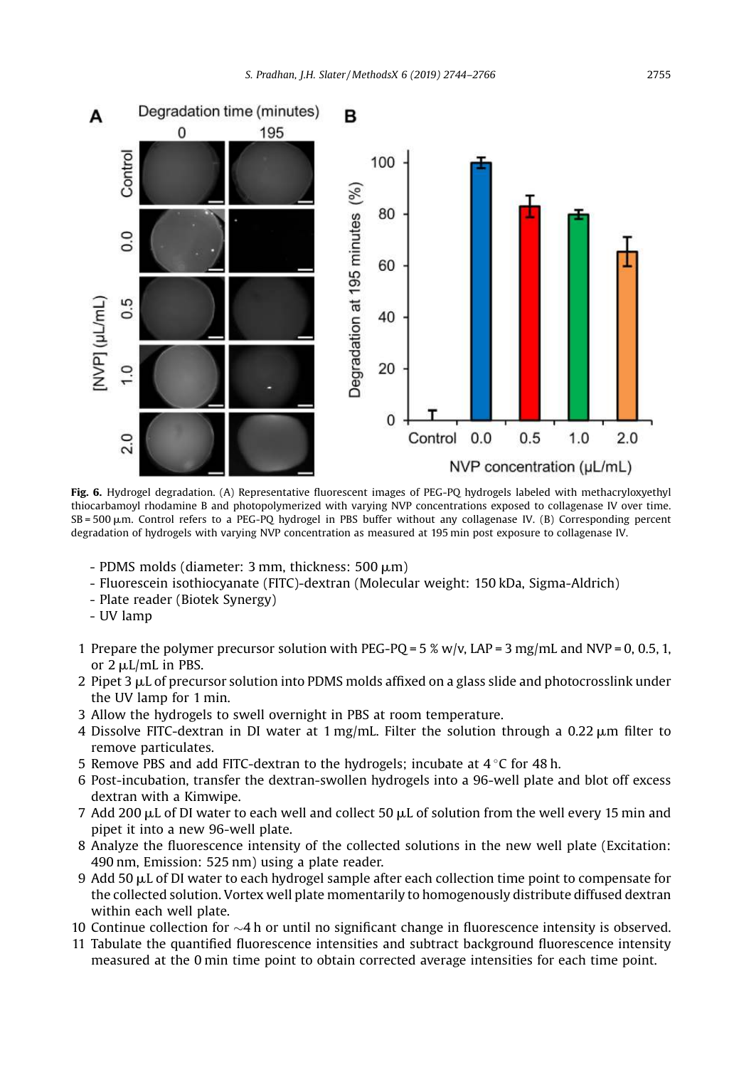

Fig. 6. Hydrogel degradation. (A) Representative fluorescent images of PEG-PO hydrogels labeled with methacryloxyethyl thiocarbamoyl rhodamine B and photopolymerized with varying NVP concentrations exposed to collagenase IV over time.  $SB = 500 \mu m$ . Control refers to a PEG-PQ hydrogel in PBS buffer without any collagenase IV. (B) Corresponding percent degradation of hydrogels with varying NVP concentration as measured at 195 min post exposure to collagenase IV.

- PDMS molds (diameter:  $3 \text{ mm}$ , thickness:  $500 \mu m$ )
- Fluorescein isothiocyanate (FITC)-dextran (Molecular weight: 150 kDa, Sigma-Aldrich)
- Plate reader (Biotek Synergy)
- UV lamp
- 1 Prepare the polymer precursor solution with PEG-PO =  $5\%$  w/v, LAP =  $3$  mg/mL and NVP = 0, 0.5, 1, or  $2 \mu L/mL$  in PBS.
- 2 Pipet 3  $\mu$ L of precursor solution into PDMS molds affixed on a glass slide and photocrosslink under the UV lamp for 1 min.
- 3 Allow the hydrogels to swell overnight in PBS at room temperature.
- 4 Dissolve FITC-dextran in DI water at  $1 \text{ mg/mL}$ . Filter the solution through a 0.22  $\mu$ m filter to remove particulates.
- 5 Remove PBS and add FITC-dextran to the hydrogels; incubate at  $4^{\circ}$ C for 48 h.
- 6 Post-incubation, transfer the dextran-swollen hydrogels into a 96-well plate and blot off excess dextran with a Kimwipe.
- 7 Add 200  $\mu$ L of DI water to each well and collect 50  $\mu$ L of solution from the well every 15 min and pipet it into a new 96-well plate.
- 8 Analyze the fluorescence intensity of the collected solutions in the new well plate (Excitation: 490 nm, Emission: 525 nm) using a plate reader.
- 9 Add 50  $\mu$ L of DI water to each hydrogel sample after each collection time point to compensate for the collected solution. Vortex well plate momentarily to homogenously distribute diffused dextran within each well plate.
- 10 Continue collection for  $\sim$ 4 h or until no significant change in fluorescence intensity is observed.
- 11 Tabulate the quantified fluorescence intensities and subtract background fluorescence intensity measured at the 0 min time point to obtain corrected average intensities for each time point.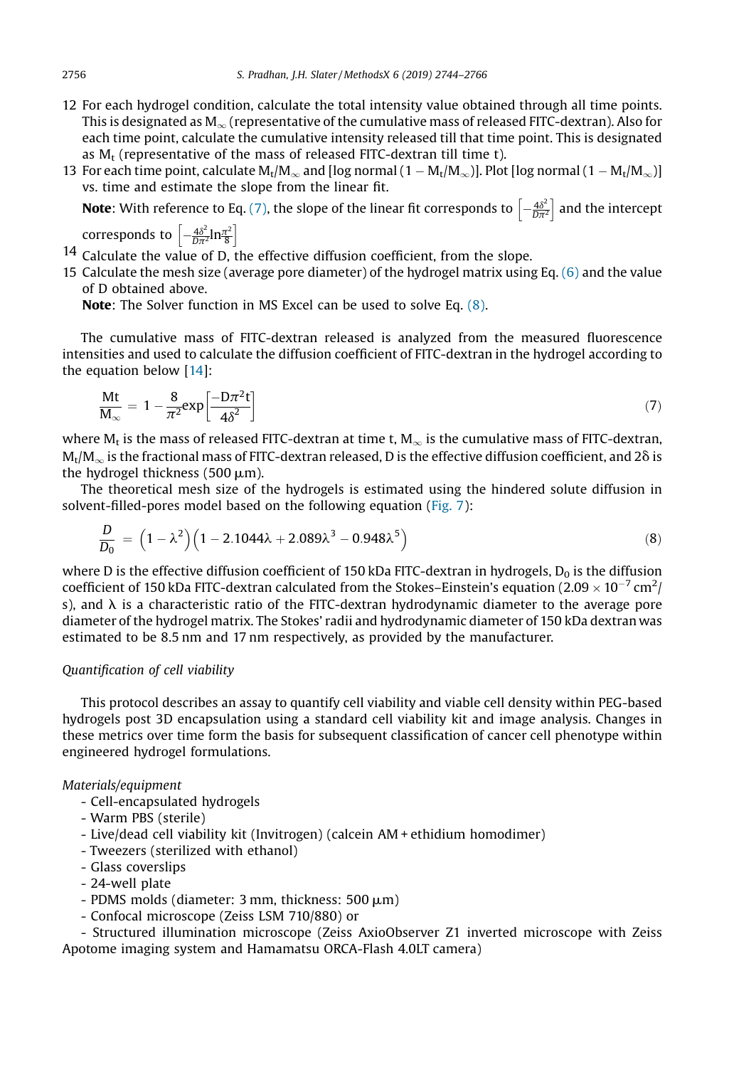- 12 For each hydrogel condition, calculate the total intensity value obtained through all time points. This is designated as  $M_{\infty}$  (representative of the cumulative mass of released FITC-dextran). Also for each time point, calculate the cumulative intensity released till that time point. This is designated as  $M_t$  (representative of the mass of released FITC-dextran till time t).
- 13 For each time point, calculate  $\rm M_t/M_\infty$  and [log normal (1  $\rm M_t/M_\infty)$ ]. Plot [log normal (1  $\rm M_t/M_\infty)$ ] vs. time and estimate the slope from the linear fit.

**Note**: With reference to Eq. (7), the slope of the linear fit corresponds to  $\left[-\frac{4\delta^2}{D\pi^2}\right]$  and the intercept

corresponds to  $\left[-\frac{4\delta^2}{D\pi^2}\ln\frac{\pi^2}{8}\right]$ 

- 14 Calculate the value of D, the effective diffusion coefficient, from the slope.
- 15 Calculate the mesh size (average pore diameter) of the hydrogel matrix using Eq. (6) and the value of D obtained above.

Note: The Solver function in MS Excel can be used to solve Eq. (8).

The cumulative mass of FITC-dextran released is analyzed from the measured fluorescence intensities and used to calculate the diffusion coefficient of FITC-dextran in the hydrogel according to the equation below [14]:

$$
\frac{\text{Mt}}{\text{M}_{\infty}} = 1 - \frac{8}{\pi^2} \exp\left[\frac{-D\pi^2 t}{4\delta^2}\right]
$$
\n(7)

where M<sub>t</sub> is the mass of released FITC-dextran at time t, M $_{\infty}$  is the cumulative mass of FITC-dextran,  $\rm M_t/M_\infty$  is the fractional mass of FITC-dextran released, D is the effective diffusion coefficient, and 2 $\rm \delta$  is the hydrogel thickness (500  $\mu$ m).

The theoretical mesh size of the hydrogels is estimated using the hindered solute diffusion in solvent-filled-pores model based on the following equation (Fig. 7):

$$
\frac{D}{D_0} = (1 - \lambda^2)(1 - 2.1044\lambda + 2.089\lambda^3 - 0.948\lambda^5)
$$
\n(8)

where D is the effective diffusion coefficient of 150 kDa FITC-dextran in hydrogels,  $D_0$  is the diffusion coefficient of 150 kDa FITC-dextran calculated from the Stokes–Einstein's equation (2.09  $\times$  10<sup>-7</sup> cm<sup>2</sup>/ s), and  $\lambda$  is a characteristic ratio of the FITC-dextran hydrodynamic diameter to the average pore diameter of the hydrogel matrix. The Stokes' radii and hydrodynamic diameter of 150 kDa dextran was estimated to be 8.5 nm and 17 nm respectively, as provided by the manufacturer.

#### *Quanti*fi*cation of cell viability*

This protocol describes an assay to quantify cell viability and viable cell density within PEG-based hydrogels post 3D encapsulation using a standard cell viability kit and image analysis. Changes in these metrics over time form the basis for subsequent classification of cancer cell phenotype within engineered hydrogel formulations.

#### *Materials/equipment*

- Cell-encapsulated hydrogels
- Warm PBS (sterile)
- Live/dead cell viability kit (Invitrogen) (calcein AM + ethidium homodimer)
- Tweezers (sterilized with ethanol)
- Glass coverslips
- 24-well plate
- PDMS molds (diameter:  $3 \text{ mm}$ , thickness:  $500 \mu m$ )
- Confocal microscope (Zeiss LSM 710/880) or

- Structured illumination microscope (Zeiss AxioObserver Z1 inverted microscope with Zeiss Apotome imaging system and Hamamatsu ORCA-Flash 4.0LT camera)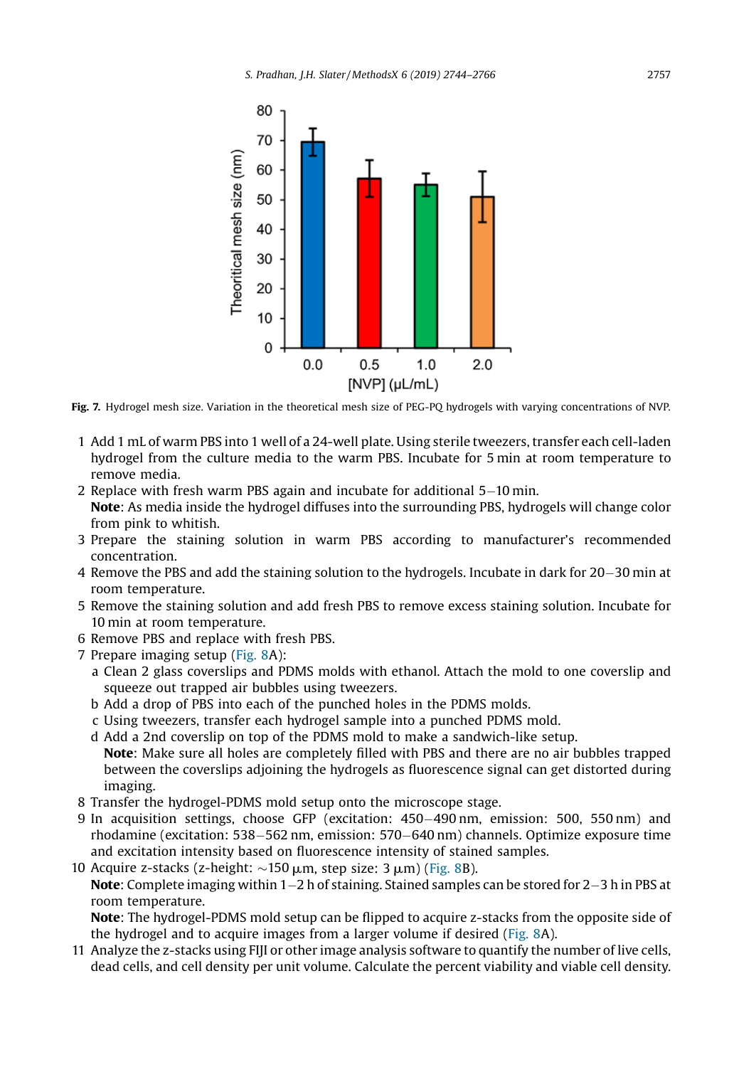

Fig. 7. Hydrogel mesh size. Variation in the theoretical mesh size of PEG-PQ hydrogels with varying concentrations of NVP.

- 1 Add 1 mL of warm PBS into 1 well of a 24-well plate. Using sterile tweezers, transfer each cell-laden hydrogel from the culture media to the warm PBS. Incubate for 5 min at room temperature to remove media.
- 2 Replace with fresh warm PBS again and incubate for additional  $5-10$  min. Note: As media inside the hydrogel diffuses into the surrounding PBS, hydrogels will change color from pink to whitish.
- 3 Prepare the staining solution in warm PBS according to manufacturer's recommended concentration.
- 4 Remove the PBS and add the staining solution to the hydrogels. Incubate in dark for 20–30 min at room temperature.
- 5 Remove the staining solution and add fresh PBS to remove excess staining solution. Incubate for 10 min at room temperature.
- 6 Remove PBS and replace with fresh PBS.
- 7 Prepare imaging setup (Fig. 8A):
	- a Clean 2 glass coverslips and PDMS molds with ethanol. Attach the mold to one coverslip and squeeze out trapped air bubbles using tweezers.
	- b Add a drop of PBS into each of the punched holes in the PDMS molds.
	- c Using tweezers, transfer each hydrogel sample into a punched PDMS mold.
	- d Add a 2nd coverslip on top of the PDMS mold to make a sandwich-like setup. Note: Make sure all holes are completely filled with PBS and there are no air bubbles trapped between the coverslips adjoining the hydrogels as fluorescence signal can get distorted during imaging.
- 8 Transfer the hydrogel-PDMS mold setup onto the microscope stage.
- 9 In acquisition settings, choose GFP (excitation: 450–490 nm, emission: 500, 550 nm) and rhodamine (excitation: 538–562 nm, emission: 570–640 nm) channels. Optimize exposure time and excitation intensity based on fluorescence intensity of stained samples.
- 10 Acquire z-stacks (z-height:  $\sim$ 150 µm, step size: 3 µm) (Fig. 8B). **Note:** Complete imaging within  $1-2$  h of staining. Stained samples can be stored for  $2-3$  h in PBS at room temperature. Note: The hydrogel-PDMS mold setup can be flipped to acquire z-stacks from the opposite side of

the hydrogel and to acquire images from a larger volume if desired (Fig. 8A).

11 Analyze the z-stacks using FIJI or other image analysis software to quantify the number of live cells, dead cells, and cell density per unit volume. Calculate the percent viability and viable cell density.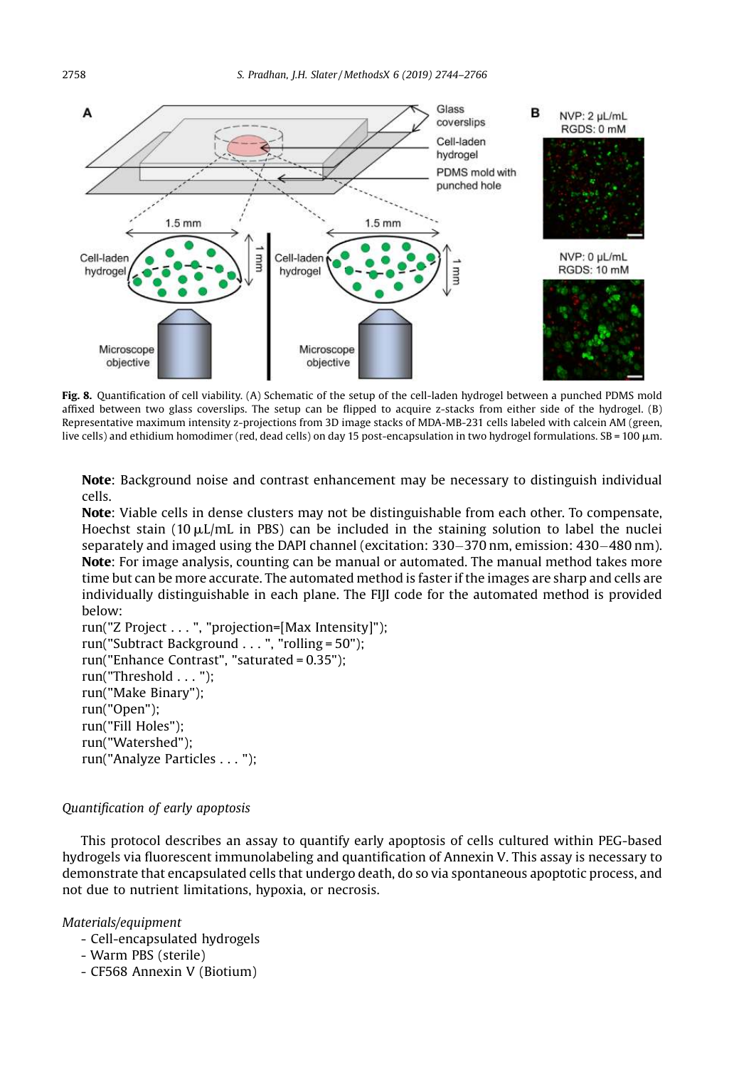

Fig. 8. Quantification of cell viability. (A) Schematic of the setup of the cell-laden hydrogel between a punched PDMS mold affixed between two glass coverslips. The setup can be flipped to acquire z-stacks from either side of the hydrogel. (B) Representative maximum intensity z-projections from 3D image stacks of MDA-MB-231 cells labeled with calcein AM (green, live cells) and ethidium homodimer (red, dead cells) on day 15 post-encapsulation in two hydrogel formulations. SB = 100 µm.

Note: Background noise and contrast enhancement may be necessary to distinguish individual cells.

Note: Viable cells in dense clusters may not be distinguishable from each other. To compensate, Hoechst stain (10  $\mu$ L/mL in PBS) can be included in the staining solution to label the nuclei separately and imaged using the DAPI channel (excitation:  $330-370$  nm, emission:  $430-480$  nm). Note: For image analysis, counting can be manual or automated. The manual method takes more time but can be more accurate. The automated method is faster if the images are sharp and cells are individually distinguishable in each plane. The FIJI code for the automated method is provided below:

run("Z Project . . . ", "projection=[Max Intensity]"); run("Subtract Background . . . ", "rolling = 50"); run("Enhance Contrast", "saturated = 0.35"); run("Threshold . . . "); run("Make Binary"); run("Open"); run("Fill Holes"); run("Watershed"); run("Analyze Particles . . . ");

## *Quanti*fi*cation of early apoptosis*

This protocol describes an assay to quantify early apoptosis of cells cultured within PEG-based hydrogels via fluorescent immunolabeling and quantification of Annexin V. This assay is necessary to demonstrate that encapsulated cells that undergo death, do so via spontaneous apoptotic process, and not due to nutrient limitations, hypoxia, or necrosis.

- Cell-encapsulated hydrogels
- Warm PBS (sterile)
- CF568 Annexin V (Biotium)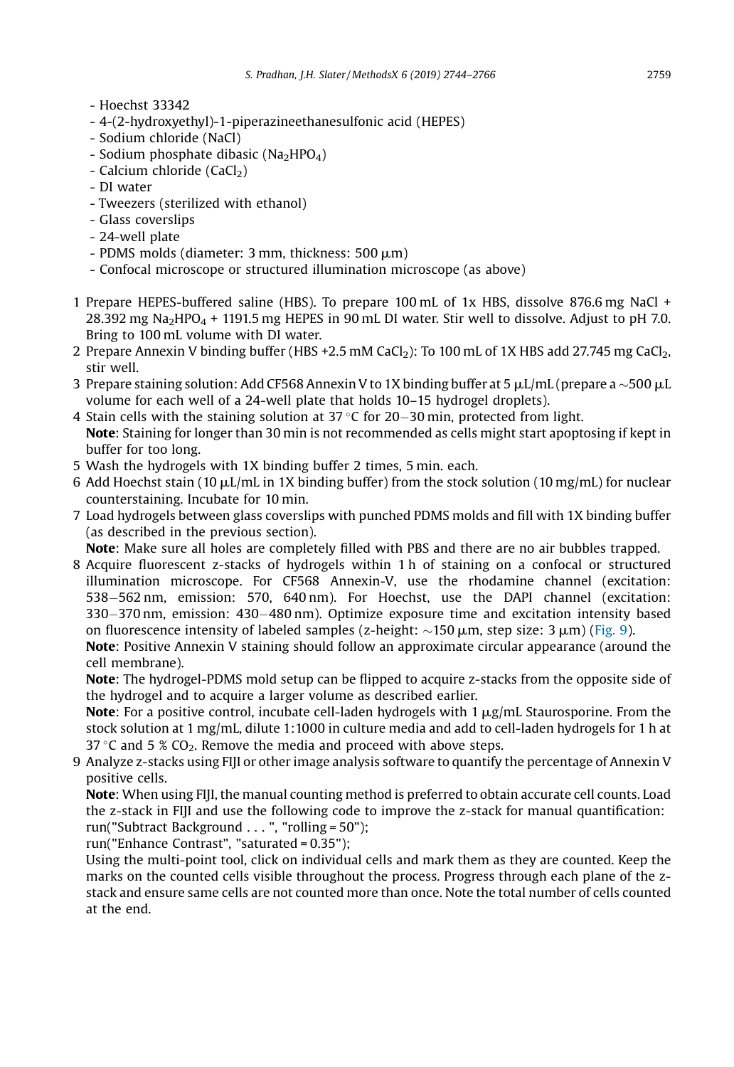- Hoechst 33342
- 4-(2-hydroxyethyl)-1-piperazineethanesulfonic acid (HEPES)
- Sodium chloride (NaCl)
- Sodium phosphate dibasic (Na<sub>2</sub>HPO<sub>4</sub>)
- $-$  Calcium chloride (CaCl<sub>2</sub>)
- DI water
- Tweezers (sterilized with ethanol)
- Glass coverslips
- 24-well plate
- PDMS molds (diameter:  $3 \text{ mm}$ , thickness:  $500 \text{ }\mu\text{m}$ )
- Confocal microscope or structured illumination microscope (as above)
- 1 Prepare HEPES-buffered saline (HBS). To prepare 100 mL of 1x HBS, dissolve 876.6 mg NaCl + 28.392 mg Na<sub>2</sub>HPO<sub>4</sub> + 1191.5 mg HEPES in 90 mL DI water. Stir well to dissolve. Adjust to pH 7.0. Bring to 100 mL volume with DI water.
- 2 Prepare Annexin V binding buffer (HBS +2.5 mM CaCl<sub>2</sub>): To 100 mL of 1X HBS add 27.745 mg CaCl<sub>2</sub>, stir well.
- 3 Prepare staining solution: Add CF568 Annexin V to 1X binding buffer at 5  $\mu$ L/mL (prepare a  $\sim$ 500  $\mu$ L volume for each well of a 24-well plate that holds 10–15 hydrogel droplets).
- 4 Stain cells with the staining solution at  $37^{\circ}$ C for 20–30 min, protected from light.
- Note: Staining for longer than 30 min is not recommended as cells might start apoptosing if kept in buffer for too long.
- 5 Wash the hydrogels with 1X binding buffer 2 times, 5 min. each.
- 6 Add Hoechst stain (10  $\mu$ L/mL in 1X binding buffer) from the stock solution (10 mg/mL) for nuclear counterstaining. Incubate for 10 min.
- 7 Load hydrogels between glass coverslips with punched PDMS molds and fill with 1X binding buffer (as described in the previous section).

Note: Make sure all holes are completely filled with PBS and there are no air bubbles trapped.

8 Acquire fluorescent z-stacks of hydrogels within 1 h of staining on a confocal or structured illumination microscope. For CF568 Annexin-V, use the rhodamine channel (excitation: 538-562 nm, emission: 570, 640 nm). For Hoechst, use the DAPI channel (excitation: 330–370 nm, emission: 430–480 nm). Optimize exposure time and excitation intensity based on fluorescence intensity of labeled samples (z-height:  $\sim$ 150  $\mu$ m, step size: 3  $\mu$ m) (Fig. 9).

Note: Positive Annexin V staining should follow an approximate circular appearance (around the cell membrane).

Note: The hydrogel-PDMS mold setup can be flipped to acquire z-stacks from the opposite side of the hydrogel and to acquire a larger volume as described earlier.

Note: For a positive control, incubate cell-laden hydrogels with  $1 \mu g/mL$  Staurosporine. From the stock solution at 1 mg/mL, dilute 1:1000 in culture media and add to cell-laden hydrogels for 1 h at 37 °C and 5 %  $CO<sub>2</sub>$ . Remove the media and proceed with above steps.

9 Analyze z-stacks using FIJI or other image analysis software to quantify the percentage of Annexin V positive cells.

Note: When using FIJI, the manual counting method is preferred to obtain accurate cell counts. Load the z-stack in FIJI and use the following code to improve the z-stack for manual quantification: run("Subtract Background . . . ", "rolling = 50");

run("Enhance Contrast", "saturated = 0.35");

Using the multi-point tool, click on individual cells and mark them as they are counted. Keep the marks on the counted cells visible throughout the process. Progress through each plane of the zstack and ensure same cells are not counted more than once. Note the total number of cells counted at the end.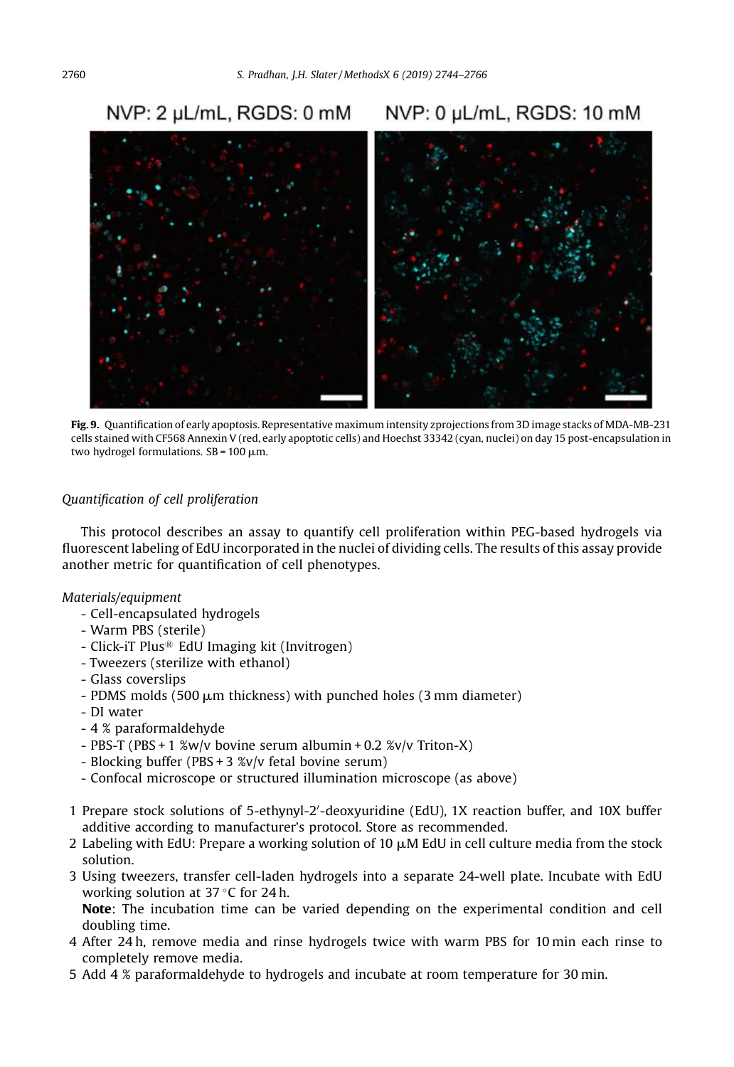#### NVP: 2 µL/mL, RGDS: 0 mM NVP: 0 uL/mL, RGDS: 10 mM



Fig. 9. Quantification of early apoptosis. Representative maximum intensity zprojections from 3D image stacks of MDA-MB-231 cells stained with CF568 Annexin V (red, early apoptotic cells) and Hoechst 33342 (cyan, nuclei) on day 15 post-encapsulation in two hydrogel formulations.  $SB = 100 \mu m$ .

## *Quanti*fi*cation of cell proliferation*

This protocol describes an assay to quantify cell proliferation within PEG-based hydrogels via fluorescent labeling of EdU incorporated in the nuclei of dividing cells. The results of this assay provide another metric for quantification of cell phenotypes.

#### *Materials/equipment*

- Cell-encapsulated hydrogels
- Warm PBS (sterile)
- Click-iT Plus<sup>®</sup> EdU Imaging kit (Invitrogen)
- Tweezers (sterilize with ethanol)
- Glass coverslips
- $-$  PDMS molds (500  $\mu$ m thickness) with punched holes (3 mm diameter)
- DI water
- 4 % paraformaldehyde
- PBS-T (PBS + 1 %w/v bovine serum albumin + 0.2 %v/v Triton-X)
- Blocking buffer (PBS + 3 %v/v fetal bovine serum)
- Confocal microscope or structured illumination microscope (as above)
- 1 Prepare stock solutions of 5-ethynyl-2'-deoxyuridine (EdU), 1X reaction buffer, and 10X buffer additive according to manufacturer's protocol. Store as recommended.
- 2 Labeling with EdU: Prepare a working solution of 10  $\mu$ M EdU in cell culture media from the stock solution.
- 3 Using tweezers, transfer cell-laden hydrogels into a separate 24-well plate. Incubate with EdU working solution at  $37^{\circ}$ C for 24 h.

Note: The incubation time can be varied depending on the experimental condition and cell doubling time.

- 4 After 24 h, remove media and rinse hydrogels twice with warm PBS for 10 min each rinse to completely remove media.
- 5 Add 4 % paraformaldehyde to hydrogels and incubate at room temperature for 30 min.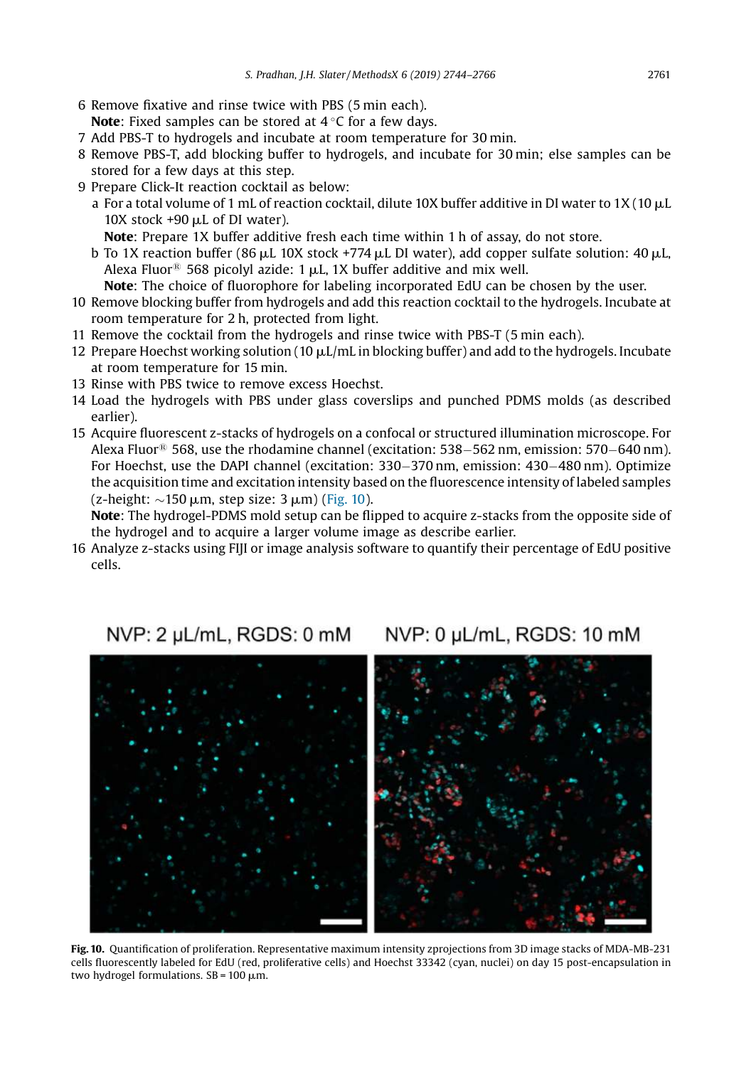- 6 Remove fixative and rinse twice with PBS (5 min each). **Note:** Fixed samples can be stored at  $4^{\circ}$ C for a few days.
- 7 Add PBS-T to hydrogels and incubate at room temperature for 30 min.
- 8 Remove PBS-T, add blocking buffer to hydrogels, and incubate for 30 min; else samples can be stored for a few days at this step.
- 9 Prepare Click-It reaction cocktail as below:
	- a For a total volume of 1 mL of reaction cocktail, dilute 10X buffer additive in DI water to 1X (10  $\mu$ L 10X stock  $+90$   $\mu$ L of DI water).
		- Note: Prepare 1X buffer additive fresh each time within 1 h of assay, do not store.
	- b To 1X reaction buffer (86  $\mu$ L 10X stock +774  $\mu$ L DI water), add copper sulfate solution: 40  $\mu$ L, Alexa Fluor<sup>®</sup> 568 picolyl azide: 1  $\mu$ L, 1X buffer additive and mix well.
	- Note: The choice of fluorophore for labeling incorporated EdU can be chosen by the user.
- 10 Remove blocking buffer from hydrogels and add this reaction cocktail to the hydrogels. Incubate at room temperature for 2 h, protected from light.
- 11 Remove the cocktail from the hydrogels and rinse twice with PBS-T (5 min each).
- 12 Prepare Hoechst working solution (10  $\mu$ L/mL in blocking buffer) and add to the hydrogels. Incubate at room temperature for 15 min.
- 13 Rinse with PBS twice to remove excess Hoechst.
- 14 Load the hydrogels with PBS under glass coverslips and punched PDMS molds (as described earlier).
- 15 Acquire fluorescent z-stacks of hydrogels on a confocal or structured illumination microscope. For Alexa Fluor<sup>®</sup> 568, use the rhodamine channel (excitation: 538–562 nm, emission: 570–640 nm). For Hoechst, use the DAPI channel (excitation: 330–370 nm, emission: 430–480 nm). Optimize the acquisition time and excitation intensity based on the fluorescence intensity of labeled samples (z-height:  $\sim$ 150 µm, step size: 3 µm) (Fig. 10).

Note: The hydrogel-PDMS mold setup can be flipped to acquire z-stacks from the opposite side of the hydrogel and to acquire a larger volume image as describe earlier.

16 Analyze z-stacks using FIJI or image analysis software to quantify their percentage of EdU positive cells.

#### NVP: 2 µL/mL, RGDS: 0 mM NVP: 0 µL/mL, RGDS: 10 mM



Fig. 10. Quantification of proliferation. Representative maximum intensity zprojections from 3D image stacks of MDA-MB-231 cells fluorescently labeled for EdU (red, proliferative cells) and Hoechst 33342 (cyan, nuclei) on day 15 post-encapsulation in two hydrogel formulations.  $SB = 100 \mu m$ .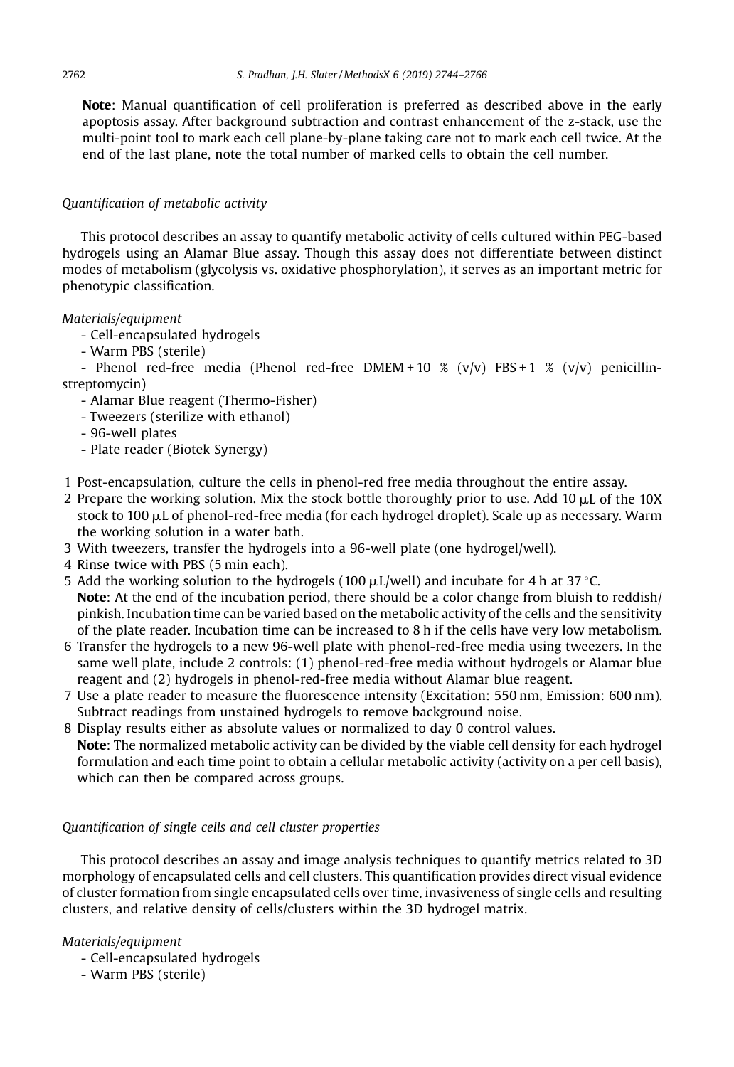Note: Manual quantification of cell proliferation is preferred as described above in the early apoptosis assay. After background subtraction and contrast enhancement of the z-stack, use the multi-point tool to mark each cell plane-by-plane taking care not to mark each cell twice. At the end of the last plane, note the total number of marked cells to obtain the cell number.

## *Quanti*fi*cation of metabolic activity*

This protocol describes an assay to quantify metabolic activity of cells cultured within PEG-based hydrogels using an Alamar Blue assay. Though this assay does not differentiate between distinct modes of metabolism (glycolysis vs. oxidative phosphorylation), it serves as an important metric for phenotypic classification.

## *Materials/equipment*

- Cell-encapsulated hydrogels
- Warm PBS (sterile)

- Phenol red-free media (Phenol red-free DMEM + 10 % (v/v) FBS + 1 % (v/v) penicillinstreptomycin)

- Alamar Blue reagent (Thermo-Fisher)
- Tweezers (sterilize with ethanol)
- 96-well plates
- Plate reader (Biotek Synergy)
- 1 Post-encapsulation, culture the cells in phenol-red free media throughout the entire assay.
- 2 Prepare the working solution. Mix the stock bottle thoroughly prior to use. Add 10  $\mu$ L of the 10X stock to  $100 \mu L$  of phenol-red-free media (for each hydrogel droplet). Scale up as necessary. Warm the working solution in a water bath.
- 3 With tweezers, transfer the hydrogels into a 96-well plate (one hydrogel/well).
- 4 Rinse twice with PBS (5 min each).
- 5 Add the working solution to the hydrogels (100  $\mu$ L/well) and incubate for 4 h at 37 °C. Note: At the end of the incubation period, there should be a color change from bluish to reddish/ pinkish. Incubation time can be varied based on the metabolic activity of the cells and the sensitivity of the plate reader. Incubation time can be increased to 8 h if the cells have very low metabolism.
- 6 Transfer the hydrogels to a new 96-well plate with phenol-red-free media using tweezers. In the same well plate, include 2 controls: (1) phenol-red-free media without hydrogels or Alamar blue reagent and (2) hydrogels in phenol-red-free media without Alamar blue reagent.
- 7 Use a plate reader to measure the fluorescence intensity (Excitation: 550 nm, Emission: 600 nm). Subtract readings from unstained hydrogels to remove background noise.
- 8 Display results either as absolute values or normalized to day 0 control values. Note: The normalized metabolic activity can be divided by the viable cell density for each hydrogel formulation and each time point to obtain a cellular metabolic activity (activity on a per cell basis), which can then be compared across groups.

## *Quanti*fi*cation of single cells and cell cluster properties*

This protocol describes an assay and image analysis techniques to quantify metrics related to 3D morphology of encapsulated cells and cell clusters. This quantification provides direct visual evidence of cluster formation from single encapsulated cells over time, invasiveness of single cells and resulting clusters, and relative density of cells/clusters within the 3D hydrogel matrix.

- Cell-encapsulated hydrogels
- Warm PBS (sterile)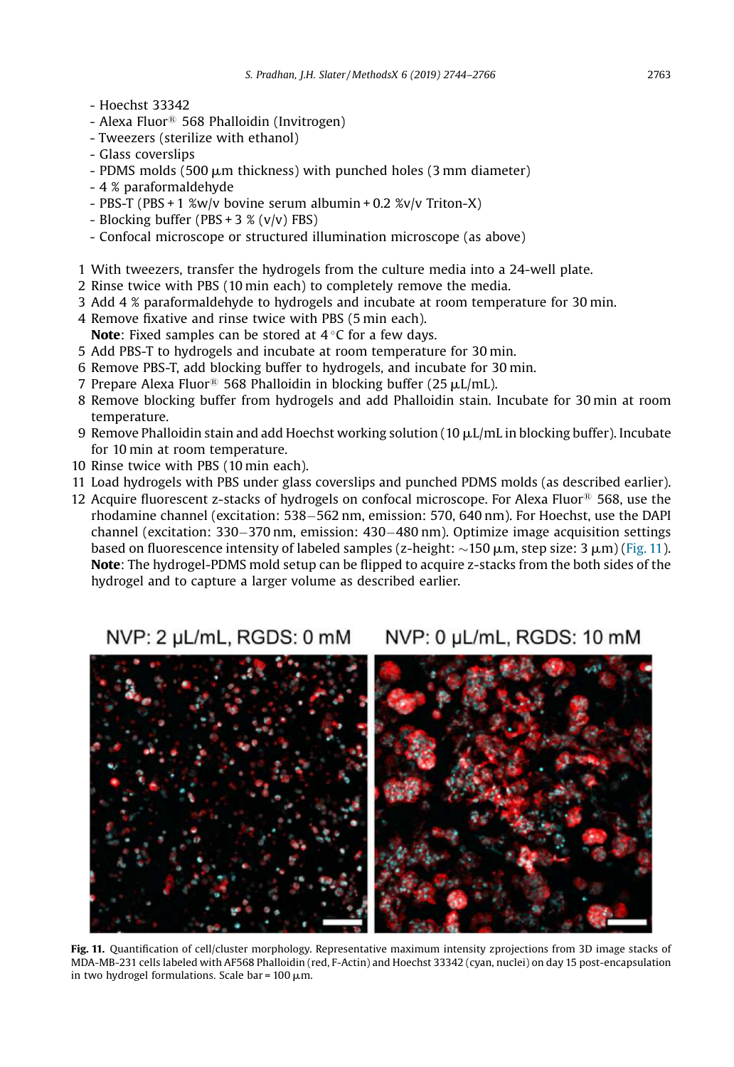- Hoechst 33342
- Alexa Fluor<sup>®</sup> 568 Phalloidin (Invitrogen)
- Tweezers (sterilize with ethanol)
- Glass coverslips
- $-$  PDMS molds (500  $\mu$ m thickness) with punched holes (3 mm diameter)
- 4 % paraformaldehyde
- PBS-T (PBS + 1 %w/v bovine serum albumin + 0.2 %v/v Triton-X)
- Blocking buffer (PBS +  $3$  % (v/v) FBS)
- Confocal microscope or structured illumination microscope (as above)
- 1 With tweezers, transfer the hydrogels from the culture media into a 24-well plate.
- 2 Rinse twice with PBS (10 min each) to completely remove the media.
- 3 Add 4 % paraformaldehyde to hydrogels and incubate at room temperature for 30 min.
- 4 Remove fixative and rinse twice with PBS (5 min each). **Note:** Fixed samples can be stored at  $4^{\circ}$ C for a few days.
- 5 Add PBS-T to hydrogels and incubate at room temperature for 30 min.
- 6 Remove PBS-T, add blocking buffer to hydrogels, and incubate for 30 min.
- 7 Prepare Alexa Fluor<sup>®</sup> 568 Phalloidin in blocking buffer (25  $\mu$ L/mL).
- 8 Remove blocking buffer from hydrogels and add Phalloidin stain. Incubate for 30 min at room temperature.
- 9 Remove Phalloidin stain and add Hoechst working solution ( $10 \mu L/mL$  in blocking buffer). Incubate for 10 min at room temperature.
- 10 Rinse twice with PBS (10 min each).
- 11 Load hydrogels with PBS under glass coverslips and punched PDMS molds (as described earlier).
- 12 Acquire fluorescent z-stacks of hydrogels on confocal microscope. For Alexa Fluor<sup>®</sup> 568, use the rhodamine channel (excitation: 538–562 nm, emission: 570, 640 nm). For Hoechst, use the DAPI channel (excitation:  $330-370$  nm, emission:  $430-480$  nm). Optimize image acquisition settings based on fluorescence intensity of labeled samples (z-height:  $\sim$ 150  $\mu$ m, step size: 3  $\mu$ m) (Fig. 11). Note: The hydrogel-PDMS mold setup can be flipped to acquire z-stacks from the both sides of the hydrogel and to capture a larger volume as described earlier.

NVP: 2 µL/mL, RGDS: 0 mM NVP: 0 µL/mL, RGDS: 10 mM



Fig. 11. Quantification of cell/cluster morphology. Representative maximum intensity zprojections from 3D image stacks of MDA-MB-231 cells labeled with AF568 Phalloidin (red, F-Actin) and Hoechst 33342 (cyan, nuclei) on day 15 post-encapsulation in two hydrogel formulations. Scale bar =  $100 \mu m$ .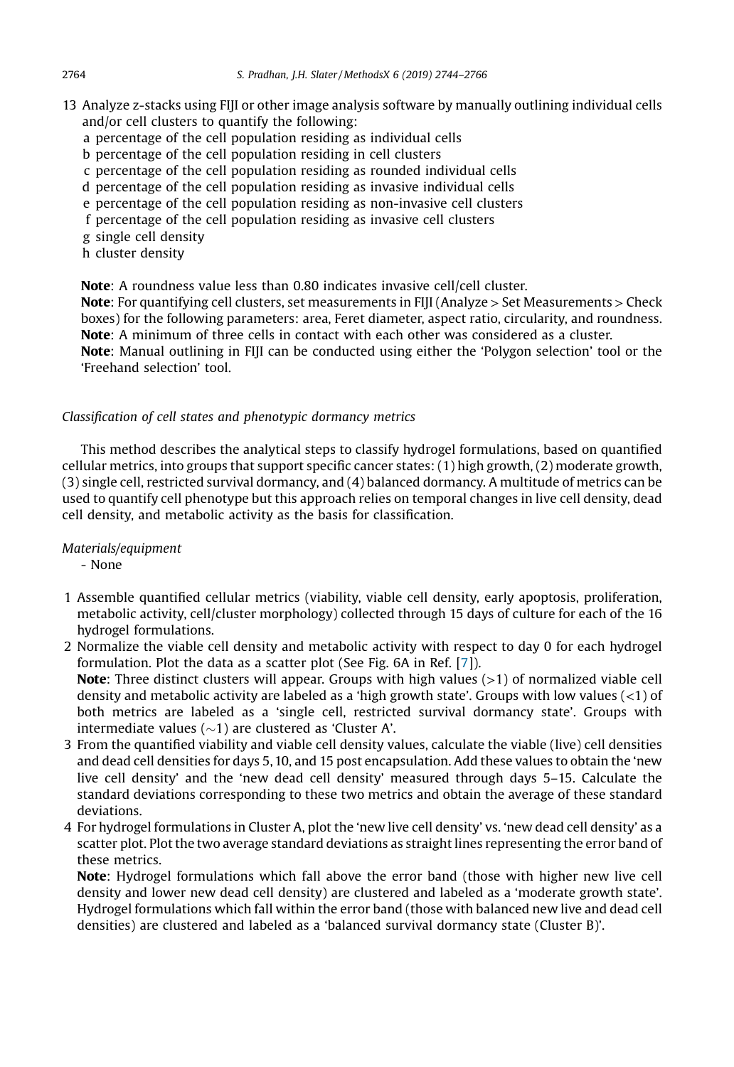- 13 Analyze z-stacks using FIJI or other image analysis software by manually outlining individual cells and/or cell clusters to quantify the following:
	- a percentage of the cell population residing as individual cells
	- b percentage of the cell population residing in cell clusters
	- c percentage of the cell population residing as rounded individual cells
	- d percentage of the cell population residing as invasive individual cells
	- e percentage of the cell population residing as non-invasive cell clusters
	- f percentage of the cell population residing as invasive cell clusters
	- g single cell density
	- h cluster density

Note: A roundness value less than 0.80 indicates invasive cell/cell cluster.

**Note:** For quantifying cell clusters, set measurements in FIII (Analyze  $>$  Set Measurements  $>$  Check boxes) for the following parameters: area, Feret diameter, aspect ratio, circularity, and roundness. Note: A minimum of three cells in contact with each other was considered as a cluster.

Note: Manual outlining in FIII can be conducted using either the 'Polygon selection' tool or the 'Freehand selection' tool.

## *Classi*fi*cation of cell states and phenotypic dormancy metrics*

This method describes the analytical steps to classify hydrogel formulations, based on quantified cellular metrics, into groups that support specific cancer states: (1) high growth, (2) moderate growth, (3) single cell, restricted survival dormancy, and (4) balanced dormancy. A multitude of metrics can be used to quantify cell phenotype but this approach relies on temporal changes in live cell density, dead cell density, and metabolic activity as the basis for classification.

*Materials/equipment*

- None

- 1 Assemble quantified cellular metrics (viability, viable cell density, early apoptosis, proliferation, metabolic activity, cell/cluster morphology) collected through 15 days of culture for each of the 16 hydrogel formulations.
- 2 Normalize the viable cell density and metabolic activity with respect to day 0 for each hydrogel formulation. Plot the data as a scatter plot (See Fig. 6A in Ref. [7]). Note: Three distinct clusters will appear. Groups with high values (>1) of normalized viable cell density and metabolic activity are labeled as a 'high growth state'. Groups with low values (<1) of both metrics are labeled as a 'single cell, restricted survival dormancy state'. Groups with intermediate values  $(\sim 1)$  are clustered as 'Cluster A'.
- 3 From the quantified viability and viable cell density values, calculate the viable (live) cell densities and dead cell densities for days 5, 10, and 15 post encapsulation. Add these values to obtain the 'new live cell density' and the 'new dead cell density' measured through days 5–15. Calculate the standard deviations corresponding to these two metrics and obtain the average of these standard deviations.
- 4 For hydrogel formulations in Cluster A, plot the 'new live cell density' vs. 'new dead cell density' as a scatter plot. Plot the two average standard deviations as straight lines representing the error band of these metrics.

Note: Hydrogel formulations which fall above the error band (those with higher new live cell density and lower new dead cell density) are clustered and labeled as a 'moderate growth state'. Hydrogel formulations which fall within the error band (those with balanced new live and dead cell densities) are clustered and labeled as a 'balanced survival dormancy state (Cluster B)'.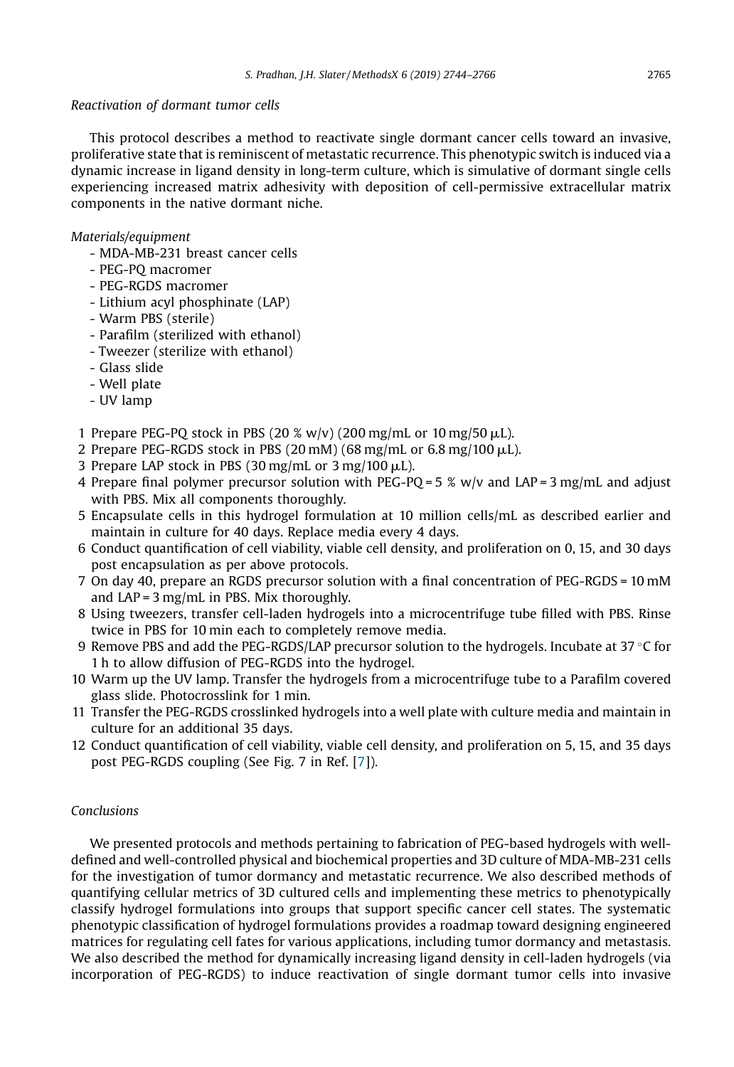## *Reactivation of dormant tumor cells*

This protocol describes a method to reactivate single dormant cancer cells toward an invasive, proliferative state that is reminiscent of metastatic recurrence. This phenotypic switch is induced via a dynamic increase in ligand density in long-term culture, which is simulative of dormant single cells experiencing increased matrix adhesivity with deposition of cell-permissive extracellular matrix components in the native dormant niche.

## *Materials/equipment*

- MDA-MB-231 breast cancer cells
- PEG-PQ macromer
- PEG-RGDS macromer
- Lithium acyl phosphinate (LAP)
- Warm PBS (sterile)
- Parafilm (sterilized with ethanol)
- Tweezer (sterilize with ethanol)
- Glass slide
- Well plate
- UV lamp
- 1 Prepare PEG-PQ stock in PBS (20 % w/v) (200 mg/mL or 10 mg/50  $\mu$ L).
- 2 Prepare PEG-RGDS stock in PBS (20 mM) (68 mg/mL or  $6.8$  mg/100  $\mu$ L).
- 3 Prepare LAP stock in PBS  $(30 \text{ mg/mL})$  or 3 mg/100  $\mu$ L).
- 4 Prepare final polymer precursor solution with PEG-PQ =  $5\%$  w/v and LAP =  $3$  mg/mL and adjust with PBS. Mix all components thoroughly.
- 5 Encapsulate cells in this hydrogel formulation at 10 million cells/mL as described earlier and maintain in culture for 40 days. Replace media every 4 days.
- 6 Conduct quantification of cell viability, viable cell density, and proliferation on 0, 15, and 30 days post encapsulation as per above protocols.
- 7 On day 40, prepare an RGDS precursor solution with a final concentration of PEG-RGDS = 10 mM and  $LAP = 3$  mg/mL in PBS. Mix thoroughly.
- 8 Using tweezers, transfer cell-laden hydrogels into a microcentrifuge tube filled with PBS. Rinse twice in PBS for 10 min each to completely remove media.
- 9 Remove PBS and add the PEG-RGDS/LAP precursor solution to the hydrogels. Incubate at 37  $\degree$ C for 1 h to allow diffusion of PEG-RGDS into the hydrogel.
- 10 Warm up the UV lamp. Transfer the hydrogels from a microcentrifuge tube to a Parafilm covered glass slide. Photocrosslink for 1 min.
- 11 Transfer the PEG-RGDS crosslinked hydrogels into a well plate with culture media and maintain in culture for an additional 35 days.
- 12 Conduct quantification of cell viability, viable cell density, and proliferation on 5, 15, and 35 days post PEG-RGDS coupling (See Fig. 7 in Ref. [7]).

## *Conclusions*

We presented protocols and methods pertaining to fabrication of PEG-based hydrogels with welldefined and well-controlled physical and biochemical properties and 3D culture of MDA-MB-231 cells for the investigation of tumor dormancy and metastatic recurrence. We also described methods of quantifying cellular metrics of 3D cultured cells and implementing these metrics to phenotypically classify hydrogel formulations into groups that support specific cancer cell states. The systematic phenotypic classification of hydrogel formulations provides a roadmap toward designing engineered matrices for regulating cell fates for various applications, including tumor dormancy and metastasis. We also described the method for dynamically increasing ligand density in cell-laden hydrogels (via incorporation of PEG-RGDS) to induce reactivation of single dormant tumor cells into invasive